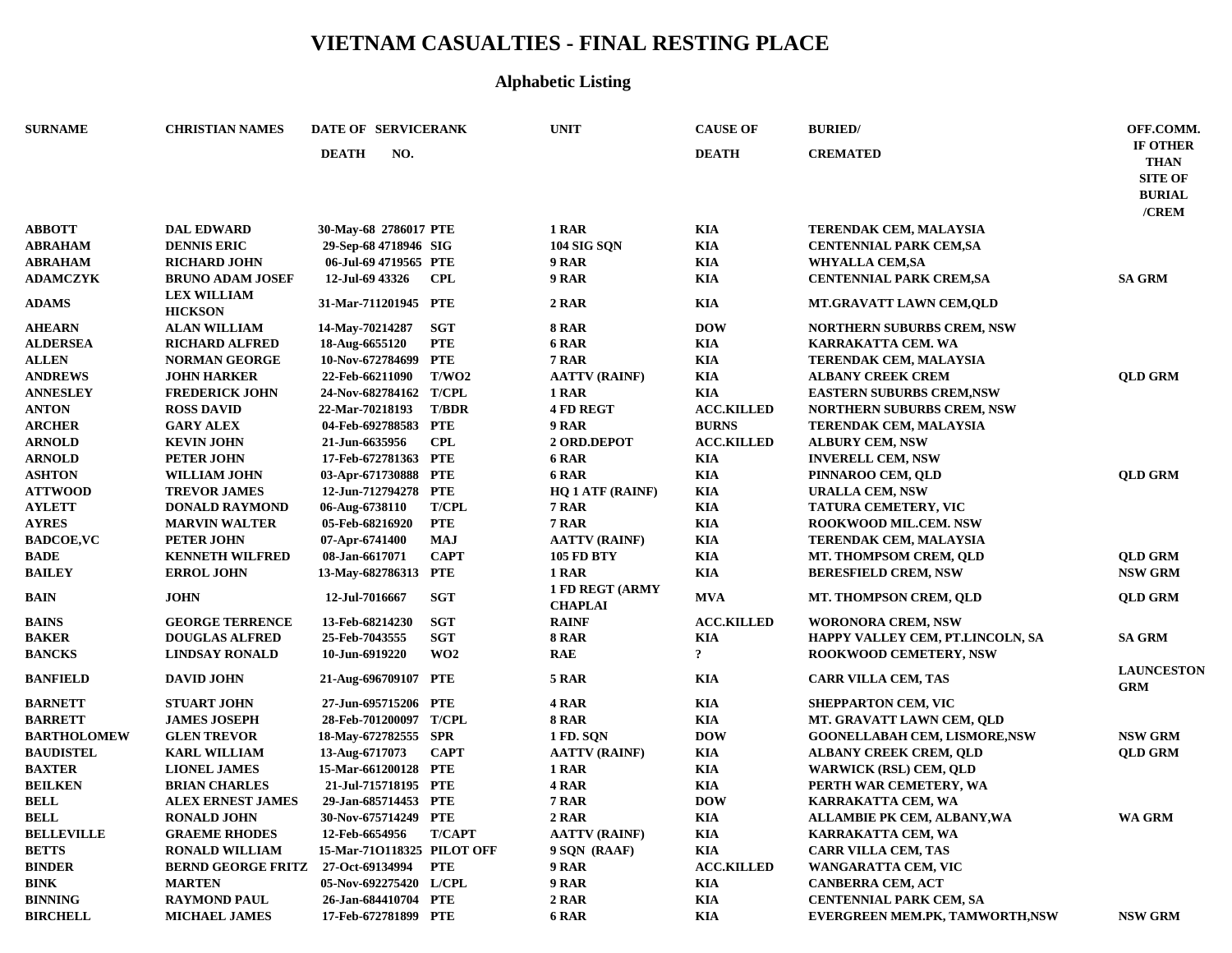## **VIETNAM CASUALTIES - FINAL RESTING PLACE**

## **Alphabetic Listing**

| <b>SURNAME</b>     | <b>CHRISTIAN NAMES</b>               | DATE OF SERVICERANK        |               | <b>UNIT</b>                              | <b>CAUSE OF</b>         | <b>BURIED</b>                        | OFF.COMM.                                                           |
|--------------------|--------------------------------------|----------------------------|---------------|------------------------------------------|-------------------------|--------------------------------------|---------------------------------------------------------------------|
|                    |                                      | NO.<br><b>DEATH</b>        |               |                                          | <b>DEATH</b>            | <b>CREMATED</b>                      | IF OTHER<br><b>THAN</b><br><b>SITE OF</b><br><b>BURIAL</b><br>/CREM |
| <b>ABBOTT</b>      | <b>DAL EDWARD</b>                    | 30-May-68 2786017 PTE      |               | 1 RAR                                    | <b>KIA</b>              | TERENDAK CEM, MALAYSIA               |                                                                     |
| <b>ABRAHAM</b>     | <b>DENNIS ERIC</b>                   | 29-Sep-68 4718946 SIG      |               | <b>104 SIG SQN</b>                       | <b>KIA</b>              | <b>CENTENNIAL PARK CEM,SA</b>        |                                                                     |
| <b>ABRAHAM</b>     | <b>RICHARD JOHN</b>                  | 06-Jul-69 4719565 PTE      |               | 9 RAR                                    | <b>KIA</b>              | <b>WHYALLA CEM,SA</b>                |                                                                     |
| <b>ADAMCZYK</b>    | <b>BRUNO ADAM JOSEF</b>              | 12-Jul-69 43326            | <b>CPL</b>    | 9 RAR                                    | <b>KIA</b>              | <b>CENTENNIAL PARK CREM, SA</b>      | <b>SA GRM</b>                                                       |
| <b>ADAMS</b>       | <b>LEX WILLIAM</b><br><b>HICKSON</b> | 31-Mar-711201945 PTE       |               | 2 RAR                                    | KIA                     | <b>MT.GRAVATT LAWN CEM,QLD</b>       |                                                                     |
| <b>AHEARN</b>      | <b>ALAN WILLIAM</b>                  | 14-May-70214287            | <b>SGT</b>    | <b>8 RAR</b>                             | <b>DOW</b>              | <b>NORTHERN SUBURBS CREM, NSW</b>    |                                                                     |
| <b>ALDERSEA</b>    | <b>RICHARD ALFRED</b>                | 18-Aug-6655120             | <b>PTE</b>    | 6 RAR                                    | <b>KIA</b>              | KARRAKATTA CEM. WA                   |                                                                     |
| <b>ALLEN</b>       | <b>NORMAN GEORGE</b>                 | 10-Nov-672784699           | <b>PTE</b>    | 7 RAR                                    | <b>KIA</b>              | <b>TERENDAK CEM, MALAYSIA</b>        |                                                                     |
| <b>ANDREWS</b>     | <b>JOHN HARKER</b>                   | 22-Feb-66211090            | T/WO2         | <b>AATTV (RAINF)</b>                     | <b>KIA</b>              | <b>ALBANY CREEK CREM</b>             | <b>QLD GRM</b>                                                      |
| <b>ANNESLEY</b>    | <b>FREDERICK JOHN</b>                | 24-Nov-682784162           | <b>T/CPL</b>  | 1 RAR                                    | <b>KIA</b>              | <b>EASTERN SUBURBS CREM, NSW</b>     |                                                                     |
| <b>ANTON</b>       | <b>ROSS DAVID</b>                    | 22-Mar-70218193            | <b>T/BDR</b>  | <b>4 FD REGT</b>                         | <b>ACC.KILLED</b>       | <b>NORTHERN SUBURBS CREM, NSW</b>    |                                                                     |
| <b>ARCHER</b>      | <b>GARY ALEX</b>                     | 04-Feb-692788583           | <b>PTE</b>    | 9 RAR                                    | <b>BURNS</b>            | TERENDAK CEM, MALAYSIA               |                                                                     |
| <b>ARNOLD</b>      | <b>KEVIN JOHN</b>                    | 21-Jun-6635956             | <b>CPL</b>    | 2 ORD.DEPOT                              | <b>ACC.KILLED</b>       | <b>ALBURY CEM, NSW</b>               |                                                                     |
| <b>ARNOLD</b>      | <b>PETER JOHN</b>                    | 17-Feb-672781363 PTE       |               | 6 RAR                                    | <b>KIA</b>              | <b>INVERELL CEM, NSW</b>             |                                                                     |
| <b>ASHTON</b>      | <b>WILLIAM JOHN</b>                  | 03-Apr-671730888 PTE       |               | 6 RAR                                    | <b>KIA</b>              | PINNAROO CEM, QLD                    | <b>QLD GRM</b>                                                      |
| <b>ATTWOOD</b>     | <b>TREVOR JAMES</b>                  | 12-Jun-712794278 PTE       |               | <b>HQ 1 ATF (RAINF)</b>                  | <b>KIA</b>              | <b>URALLA CEM, NSW</b>               |                                                                     |
| <b>AYLETT</b>      | <b>DONALD RAYMOND</b>                | 06-Aug-6738110             | <b>T/CPL</b>  | <b>7 RAR</b>                             | <b>KIA</b>              | TATURA CEMETERY, VIC                 |                                                                     |
| <b>AYRES</b>       | <b>MARVIN WALTER</b>                 | 05-Feb-68216920            | <b>PTE</b>    | 7 RAR                                    | <b>KIA</b>              | ROOKWOOD MIL.CEM. NSW                |                                                                     |
| <b>BADCOE, VC</b>  | <b>PETER JOHN</b>                    | 07-Apr-6741400             | <b>MAJ</b>    | <b>AATTV (RAINF)</b>                     | <b>KIA</b>              | TERENDAK CEM, MALAYSIA               |                                                                     |
| <b>BADE</b>        | <b>KENNETH WILFRED</b>               | 08-Jan-6617071             | <b>CAPT</b>   | <b>105 FD BTY</b>                        | <b>KIA</b>              | MT. THOMPSOM CREM, QLD               | <b>QLD GRM</b>                                                      |
| <b>BAILEY</b>      | <b>ERROL JOHN</b>                    | 13-May-682786313           | PTE           | 1 RAR                                    | KIA                     | <b>BERESFIELD CREM, NSW</b>          | <b>NSW GRM</b>                                                      |
| <b>BAIN</b>        | <b>JOHN</b>                          | 12-Jul-7016667             | <b>SGT</b>    | <b>1 FD REGT (ARMY</b><br><b>CHAPLAI</b> | <b>MVA</b>              | MT. THOMPSON CREM, QLD               | <b>QLD GRM</b>                                                      |
| <b>BAINS</b>       | <b>GEORGE TERRENCE</b>               | 13-Feb-68214230            | <b>SGT</b>    | <b>RAINF</b>                             | <b>ACC.KILLED</b>       | <b>WORONORA CREM, NSW</b>            |                                                                     |
| <b>BAKER</b>       | <b>DOUGLAS ALFRED</b>                | 25-Feb-7043555             | <b>SGT</b>    | <b>8 RAR</b>                             | KIA                     | HAPPY VALLEY CEM, PT.LINCOLN, SA     | <b>SA GRM</b>                                                       |
| <b>BANCKS</b>      | <b>LINDSAY RONALD</b>                | 10-Jun-6919220             | WO2           | <b>RAE</b>                               | $\overline{\mathbf{r}}$ | <b>ROOKWOOD CEMETERY, NSW</b>        |                                                                     |
| <b>BANFIELD</b>    | <b>DAVID JOHN</b>                    | 21-Aug-696709107 PTE       |               | 5 RAR                                    | <b>KIA</b>              | <b>CARR VILLA CEM, TAS</b>           | <b>LAUNCESTON</b><br><b>GRM</b>                                     |
| <b>BARNETT</b>     | <b>STUART JOHN</b>                   | 27-Jun-695715206 PTE       |               | 4 RAR                                    | KIA                     | <b>SHEPPARTON CEM, VIC</b>           |                                                                     |
| <b>BARRETT</b>     | <b>JAMES JOSEPH</b>                  | 28-Feb-701200097           | <b>T/CPL</b>  | <b>8 RAR</b>                             | <b>KIA</b>              | MT. GRAVATT LAWN CEM, QLD            |                                                                     |
| <b>BARTHOLOMEW</b> | <b>GLEN TREVOR</b>                   | 18-May-672782555 SPR       |               | <b>1 FD. SQN</b>                         | <b>DOW</b>              | <b>GOONELLABAH CEM, LISMORE, NSW</b> | <b>NSW GRM</b>                                                      |
| <b>BAUDISTEL</b>   | <b>KARL WILLIAM</b>                  | 13-Aug-6717073             | <b>CAPT</b>   | <b>AATTV (RAINF)</b>                     | <b>KIA</b>              | <b>ALBANY CREEK CREM, QLD</b>        | <b>QLD GRM</b>                                                      |
| <b>BAXTER</b>      | <b>LIONEL JAMES</b>                  | 15-Mar-661200128 PTE       |               | 1 RAR                                    | <b>KIA</b>              | <b>WARWICK (RSL) CEM, QLD</b>        |                                                                     |
| <b>BEILKEN</b>     | <b>BRIAN CHARLES</b>                 | 21-Jul-715718195 PTE       |               | 4 RAR                                    | <b>KIA</b>              | PERTH WAR CEMETERY, WA               |                                                                     |
| <b>BELL</b>        | <b>ALEX ERNEST JAMES</b>             | 29-Jan-685714453 PTE       |               | 7 RAR                                    | <b>DOW</b>              | KARRAKATTA CEM, WA                   |                                                                     |
| <b>BELL</b>        | <b>RONALD JOHN</b>                   | 30-Nov-675714249 PTE       |               | 2 RAR                                    | KIA                     | ALLAMBIE PK CEM, ALBANY, WA          | WA GRM                                                              |
| <b>BELLEVILLE</b>  | <b>GRAEME RHODES</b>                 | 12-Feb-6654956             | <b>T/CAPT</b> | <b>AATTV (RAINF)</b>                     | <b>KIA</b>              | KARRAKATTA CEM, WA                   |                                                                     |
| <b>BETTS</b>       | <b>RONALD WILLIAM</b>                | 15-Mar-710118325 PILOT OFF |               | 9 SQN (RAAF)                             | <b>KIA</b>              | <b>CARR VILLA CEM, TAS</b>           |                                                                     |
| <b>BINDER</b>      | <b>BERND GEORGE FRITZ</b>            | 27-Oct-69134994            | <b>PTE</b>    | 9 RAR                                    | <b>ACC.KILLED</b>       | WANGARATTA CEM, VIC                  |                                                                     |
| <b>BINK</b>        | <b>MARTEN</b>                        | 05-Nov-692275420 L/CPL     |               | 9 RAR                                    | <b>KIA</b>              | <b>CANBERRA CEM, ACT</b>             |                                                                     |
| <b>BINNING</b>     | <b>RAYMOND PAUL</b>                  | 26-Jan-684410704 PTE       |               | 2 RAR                                    | <b>KIA</b>              | <b>CENTENNIAL PARK CEM, SA</b>       |                                                                     |
| <b>BIRCHELL</b>    | <b>MICHAEL JAMES</b>                 | 17-Feb-672781899 PTE       |               | 6 RAR                                    | <b>KIA</b>              | EVERGREEN MEM.PK, TAMWORTH,NSW       | <b>NSW GRM</b>                                                      |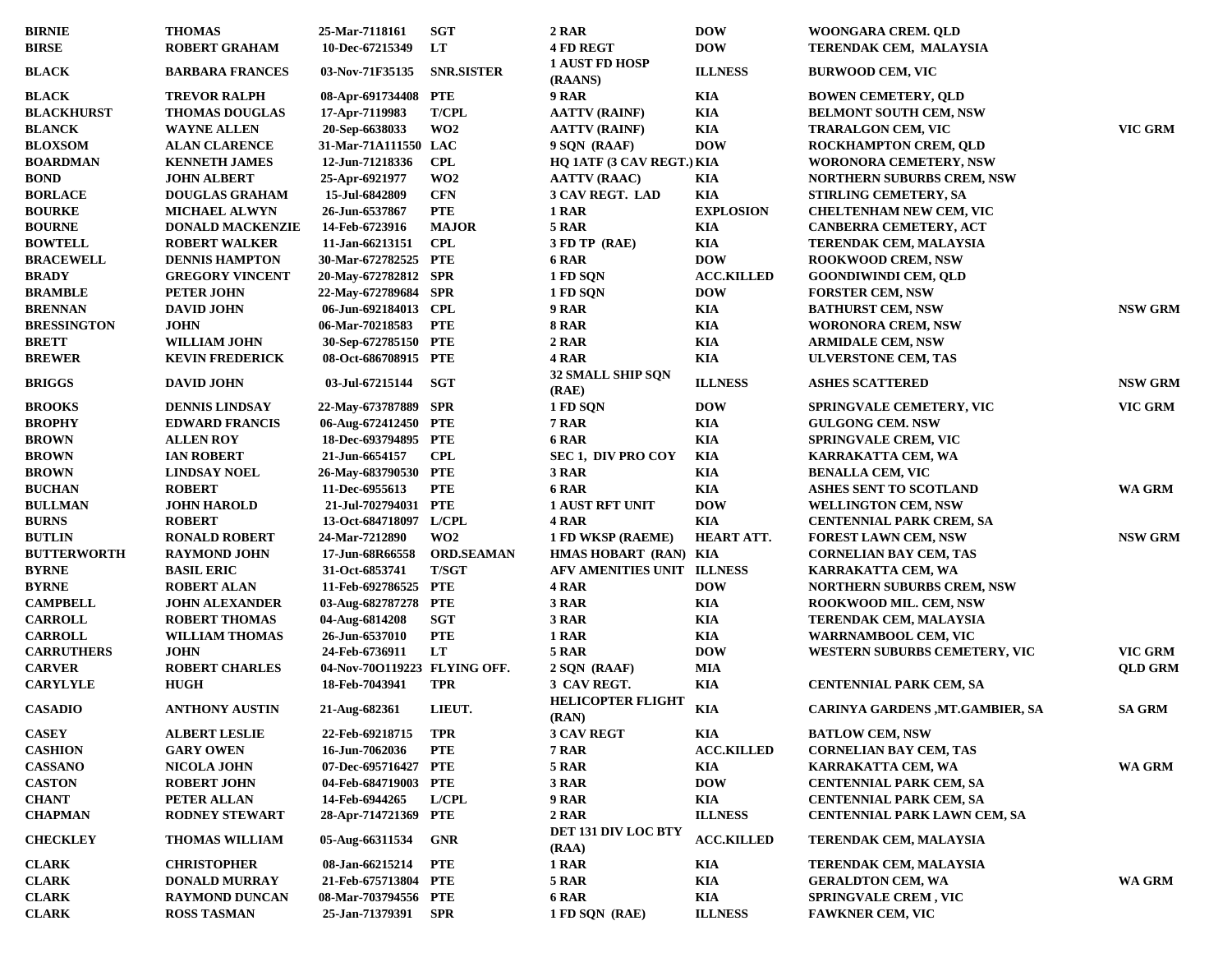| <b>BIRNIE</b>      | <b>THOMAS</b>           | 25-Mar-7118161               | <b>SGT</b>        | 2 RAR                               | <b>DOW</b>        | WOONGARA CREM. QLD                     |                |
|--------------------|-------------------------|------------------------------|-------------------|-------------------------------------|-------------------|----------------------------------------|----------------|
| <b>BIRSE</b>       | <b>ROBERT GRAHAM</b>    | 10-Dec-67215349              | LT                | <b>4 FD REGT</b>                    | <b>DOW</b>        | TERENDAK CEM, MALAYSIA                 |                |
| <b>BLACK</b>       | <b>BARBARA FRANCES</b>  | 03-Nov-71F35135              | <b>SNR.SISTER</b> | <b>1 AUST FD HOSP</b><br>(RAANS)    | <b>ILLNESS</b>    | <b>BURWOOD CEM, VIC</b>                |                |
| <b>BLACK</b>       | <b>TREVOR RALPH</b>     | 08-Apr-691734408 PTE         |                   | 9 RAR                               | <b>KIA</b>        | <b>BOWEN CEMETERY, QLD</b>             |                |
| <b>BLACKHURST</b>  | <b>THOMAS DOUGLAS</b>   | 17-Apr-7119983               | <b>T/CPL</b>      | <b>AATTV (RAINF)</b>                | <b>KIA</b>        | <b>BELMONT SOUTH CEM, NSW</b>          |                |
| <b>BLANCK</b>      | <b>WAYNE ALLEN</b>      | 20-Sep-6638033               | WO <sub>2</sub>   | <b>AATTV (RAINF)</b>                | KIA               | <b>TRARALGON CEM, VIC</b>              | VIC GRM        |
| <b>BLOXSOM</b>     | <b>ALAN CLARENCE</b>    | 31-Mar-71A111550 LAC         |                   | 9 SQN (RAAF)                        | <b>DOW</b>        | <b>ROCKHAMPTON CREM, QLD</b>           |                |
| <b>BOARDMAN</b>    | <b>KENNETH JAMES</b>    | 12-Jun-71218336              | CPL               | HQ 1ATF (3 CAV REGT.) KIA           |                   | <b>WORONORA CEMETERY, NSW</b>          |                |
| <b>BOND</b>        | <b>JOHN ALBERT</b>      | 25-Apr-6921977               | WO <sub>2</sub>   | <b>AATTV (RAAC)</b>                 | KIA               | <b>NORTHERN SUBURBS CREM, NSW</b>      |                |
| <b>BORLACE</b>     | DOUGLAS GRAHAM          | 15-Jul-6842809               | <b>CFN</b>        | 3 CAV REGT. LAD                     | <b>KIA</b>        | STIRLING CEMETERY, SA                  |                |
| <b>BOURKE</b>      | <b>MICHAEL ALWYN</b>    | 26-Jun-6537867               | <b>PTE</b>        | 1 RAR                               | <b>EXPLOSION</b>  | <b>CHELTENHAM NEW CEM, VIC</b>         |                |
| <b>BOURNE</b>      | <b>DONALD MACKENZIE</b> | 14-Feb-6723916               | <b>MAJOR</b>      | 5 RAR                               | KIA               | CANBERRA CEMETERY, ACT                 |                |
| <b>BOWTELL</b>     | <b>ROBERT WALKER</b>    | 11-Jan-66213151              | <b>CPL</b>        | 3 FD TP (RAE)                       | KIA               | TERENDAK CEM, MALAYSIA                 |                |
| <b>BRACEWELL</b>   | <b>DENNIS HAMPTON</b>   | 30-Mar-672782525 PTE         |                   | 6 RAR                               | <b>DOW</b>        | <b>ROOKWOOD CREM, NSW</b>              |                |
| <b>BRADY</b>       | <b>GREGORY VINCENT</b>  | 20-May-672782812 SPR         |                   | 1 FD SQN                            | <b>ACC.KILLED</b> | <b>GOONDIWINDI CEM, QLD</b>            |                |
| <b>BRAMBLE</b>     | <b>PETER JOHN</b>       | 22-May-672789684 SPR         |                   | 1 FD SQN                            | <b>DOW</b>        | <b>FORSTER CEM, NSW</b>                |                |
| <b>BRENNAN</b>     | <b>DAVID JOHN</b>       | 06-Jun-692184013 CPL         |                   | 9 RAR                               | KIA               | <b>BATHURST CEM, NSW</b>               | <b>NSW GRM</b> |
| <b>BRESSINGTON</b> | <b>JOHN</b>             | 06-Mar-70218583              | <b>PTE</b>        | <b>8 RAR</b>                        | KIA               | WORONORA CREM, NSW                     |                |
| <b>BRETT</b>       | <b>WILLIAM JOHN</b>     | 30-Sep-672785150 PTE         |                   | 2 RAR                               | KIA               | <b>ARMIDALE CEM, NSW</b>               |                |
| <b>BREWER</b>      | <b>KEVIN FREDERICK</b>  | 08-Oct-686708915 PTE         |                   | 4 RAR                               | <b>KIA</b>        | <b>ULVERSTONE CEM, TAS</b>             |                |
| <b>BRIGGS</b>      | <b>DAVID JOHN</b>       | 03-Jul-67215144              | SGT               | <b>32 SMALL SHIP SQN</b><br>(RAE)   | <b>ILLNESS</b>    | <b>ASHES SCATTERED</b>                 | <b>NSW GRM</b> |
| <b>BROOKS</b>      | <b>DENNIS LINDSAY</b>   | 22-May-673787889 SPR         |                   | 1 FD SQN                            | <b>DOW</b>        | <b>SPRINGVALE CEMETERY, VIC</b>        | VIC GRM        |
| <b>BROPHY</b>      | <b>EDWARD FRANCIS</b>   | 06-Aug-672412450 PTE         |                   | 7 RAR                               | KIA               | <b>GULGONG CEM. NSW</b>                |                |
| <b>BROWN</b>       | <b>ALLEN ROY</b>        | 18-Dec-693794895 PTE         |                   | 6 RAR                               | <b>KIA</b>        | <b>SPRINGVALE CREM, VIC</b>            |                |
| <b>BROWN</b>       | <b>IAN ROBERT</b>       | 21-Jun-6654157               | <b>CPL</b>        | <b>SEC 1, DIV PRO COY</b>           | KIA               | KARRAKATTA CEM, WA                     |                |
| <b>BROWN</b>       | <b>LINDSAY NOEL</b>     | 26-May-683790530 PTE         |                   | 3 RAR                               | KIA               | <b>BENALLA CEM, VIC</b>                |                |
| <b>BUCHAN</b>      | <b>ROBERT</b>           | 11-Dec-6955613               | <b>PTE</b>        | 6 RAR                               | KIA               | <b>ASHES SENT TO SCOTLAND</b>          | WA GRM         |
| <b>BULLMAN</b>     | <b>JOHN HAROLD</b>      | 21-Jul-702794031 PTE         |                   | <b>1 AUST RFT UNIT</b>              | <b>DOW</b>        | <b>WELLINGTON CEM, NSW</b>             |                |
| <b>BURNS</b>       | <b>ROBERT</b>           | 13-Oct-684718097 L/CPL       |                   | 4 RAR                               | KIA               | CENTENNIAL PARK CREM, SA               |                |
| <b>BUTLIN</b>      | <b>RONALD ROBERT</b>    | 24-Mar-7212890               | WO <sub>2</sub>   | 1 FD WKSP (RAEME)                   | HEART ATT.        | <b>FOREST LAWN CEM, NSW</b>            | <b>NSW GRM</b> |
| <b>BUTTERWORTH</b> | <b>RAYMOND JOHN</b>     | 17-Jun-68R66558              | <b>ORD.SEAMAN</b> | HMAS HOBART (RAN) KIA               |                   | <b>CORNELIAN BAY CEM, TAS</b>          |                |
| <b>BYRNE</b>       | <b>BASIL ERIC</b>       | 31-Oct-6853741               | <b>T/SGT</b>      | AFV AMENITIES UNIT ILLNESS          |                   | KARRAKATTA CEM, WA                     |                |
| <b>BYRNE</b>       | <b>ROBERT ALAN</b>      | 11-Feb-692786525 PTE         |                   | 4 RAR                               | <b>DOW</b>        |                                        |                |
| <b>CAMPBELL</b>    |                         | 03-Aug-682787278 PTE         |                   | 3 RAR                               | KIA               | <b>NORTHERN SUBURBS CREM, NSW</b>      |                |
| <b>CARROLL</b>     | <b>JOHN ALEXANDER</b>   |                              | SGT               | 3 RAR                               | KIA               | <b>ROOKWOOD MIL. CEM, NSW</b>          |                |
|                    | <b>ROBERT THOMAS</b>    | 04-Aug-6814208               |                   |                                     |                   | TERENDAK CEM, MALAYSIA                 |                |
| <b>CARROLL</b>     | <b>WILLIAM THOMAS</b>   | 26-Jun-6537010               | <b>PTE</b>        | 1 RAR                               | KIA               | WARRNAMBOOL CEM, VIC                   |                |
| <b>CARRUTHERS</b>  | <b>JOHN</b>             | 24-Feb-6736911               | LT                | 5 RAR                               | <b>DOW</b>        | WESTERN SUBURBS CEMETERY, VIC          | VIC GRM        |
| <b>CARVER</b>      | <b>ROBERT CHARLES</b>   | 04-Nov-70O119223 FLYING OFF. |                   | 2 SQN (RAAF)                        | MIA               |                                        | <b>QLD GRM</b> |
| <b>CARYLYLE</b>    | <b>HUGH</b>             | 18-Feb-7043941               | TPR               | 3 CAV REGT.                         | <b>KIA</b>        | <b>CENTENNIAL PARK CEM, SA</b>         |                |
| <b>CASADIO</b>     | <b>ANTHONY AUSTIN</b>   | 21-Aug-682361                | LIEUT.            | <b>HELICOPTER FLIGHT</b><br>(RAN)   | KIA               | <b>CARINYA GARDENS ,MT.GAMBIER, SA</b> | <b>SA GRM</b>  |
| <b>CASEY</b>       | <b>ALBERT LESLIE</b>    | 22-Feb-69218715              | TPR               | 3 CAV REGT                          | KIA               | <b>BATLOW CEM, NSW</b>                 |                |
| <b>CASHION</b>     | <b>GARY OWEN</b>        | 16-Jun-7062036               | <b>PTE</b>        | 7 RAR                               | <b>ACC.KILLED</b> | <b>CORNELIAN BAY CEM, TAS</b>          |                |
| <b>CASSANO</b>     | <b>NICOLA JOHN</b>      | 07-Dec-695716427 PTE         |                   | 5 RAR                               | KIA               | KARRAKATTA CEM, WA                     | WA GRM         |
| <b>CASTON</b>      | <b>ROBERT JOHN</b>      | 04-Feb-684719003 PTE         |                   | 3 RAR                               | <b>DOW</b>        | CENTENNIAL PARK CEM, SA                |                |
| <b>CHANT</b>       | PETER ALLAN             | 14-Feb-6944265               | <b>L/CPL</b>      | 9 RAR                               | KIA               | <b>CENTENNIAL PARK CEM, SA</b>         |                |
| <b>CHAPMAN</b>     | <b>RODNEY STEWART</b>   | 28-Apr-714721369 PTE         |                   | 2 RAR                               | <b>ILLNESS</b>    | <b>CENTENNIAL PARK LAWN CEM, SA</b>    |                |
| <b>CHECKLEY</b>    | <b>THOMAS WILLIAM</b>   | 05-Aug-66311534              | GNR               | <b>DET 131 DIV LOC BTY</b><br>(RAA) | <b>ACC.KILLED</b> | TERENDAK CEM, MALAYSIA                 |                |
| <b>CLARK</b>       | <b>CHRISTOPHER</b>      | 08-Jan-66215214              | PTE               | 1 RAR                               | KIA               | <b>TERENDAK CEM, MALAYSIA</b>          |                |
| <b>CLARK</b>       | <b>DONALD MURRAY</b>    | 21-Feb-675713804 PTE         |                   | 5 RAR                               | <b>KIA</b>        | <b>GERALDTON CEM, WA</b>               | WA GRM         |
| <b>CLARK</b>       | <b>RAYMOND DUNCAN</b>   | 08-Mar-703794556 PTE         |                   | 6 RAR                               | KIA               | <b>SPRINGVALE CREM, VIC</b>            |                |
| <b>CLARK</b>       | <b>ROSS TASMAN</b>      | 25-Jan-71379391              | SPR               | 1 FD SQN (RAE)                      | <b>ILLNESS</b>    | <b>FAWKNER CEM, VIC</b>                |                |
|                    |                         |                              |                   |                                     |                   |                                        |                |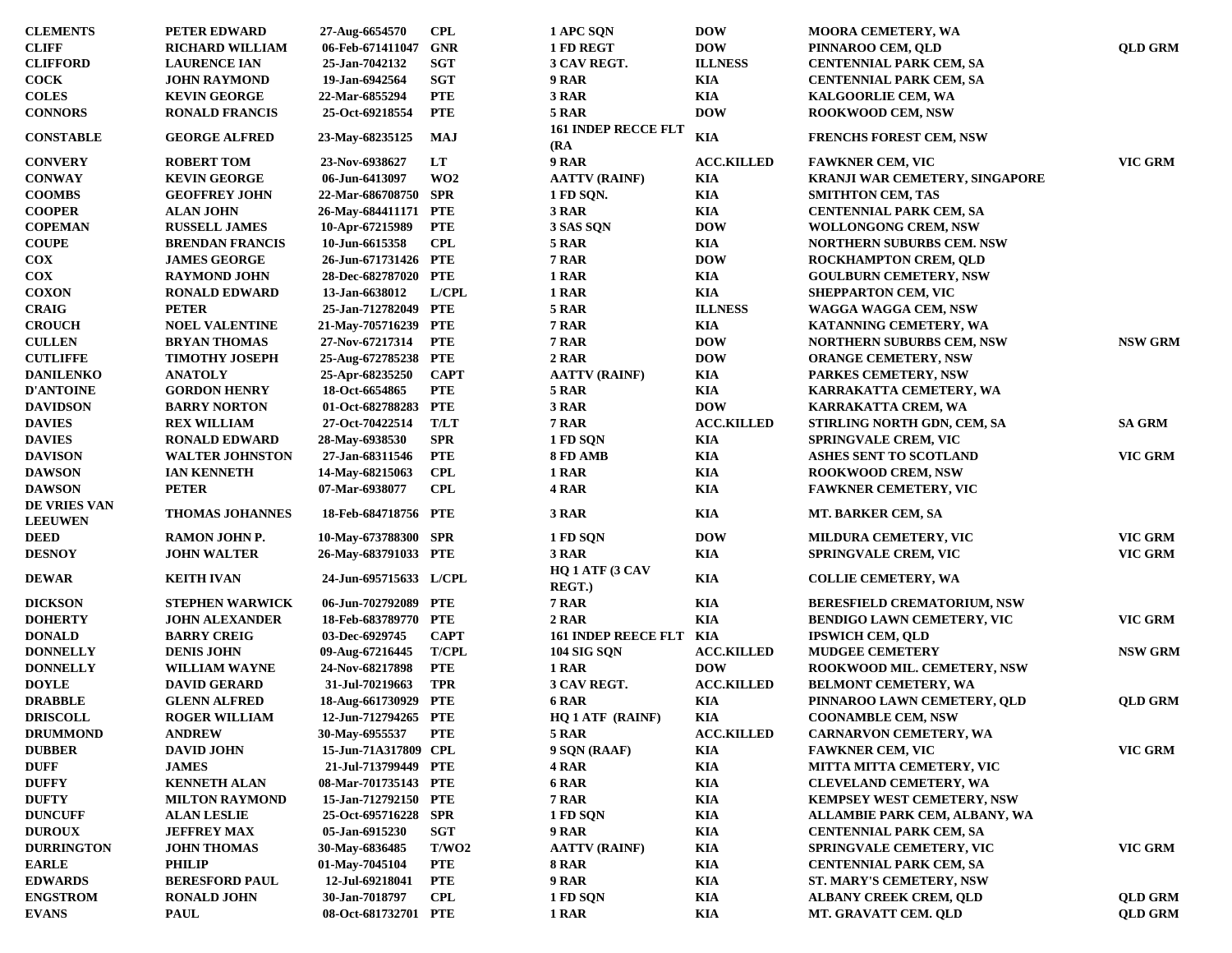| <b>CLEMENTS</b>                | PETER EDWARD           | 27-Aug-6654570         | <b>CPL</b>      | 1 APC SQN                          | <b>DOW</b>        | MOORA CEMETERY, WA                   |                |
|--------------------------------|------------------------|------------------------|-----------------|------------------------------------|-------------------|--------------------------------------|----------------|
| <b>CLIFF</b>                   | <b>RICHARD WILLIAM</b> | 06-Feb-671411047       | <b>GNR</b>      | 1 FD REGT                          | <b>DOW</b>        | PINNAROO CEM, QLD                    | <b>QLD GRM</b> |
| <b>CLIFFORD</b>                | <b>LAURENCE IAN</b>    | 25-Jan-7042132         | <b>SGT</b>      | 3 CAV REGT.                        | <b>ILLNESS</b>    | <b>CENTENNIAL PARK CEM, SA</b>       |                |
| <b>COCK</b>                    | <b>JOHN RAYMOND</b>    | 19-Jan-6942564         | <b>SGT</b>      | 9 RAR                              | <b>KIA</b>        | <b>CENTENNIAL PARK CEM, SA</b>       |                |
| <b>COLES</b>                   | <b>KEVIN GEORGE</b>    | 22-Mar-6855294         | <b>PTE</b>      | 3 RAR                              | <b>KIA</b>        | <b>KALGOORLIE CEM, WA</b>            |                |
| <b>CONNORS</b>                 | <b>RONALD FRANCIS</b>  | 25-Oct-69218554        | <b>PTE</b>      | 5 RAR                              | <b>DOW</b>        | <b>ROOKWOOD CEM, NSW</b>             |                |
| <b>CONSTABLE</b>               | <b>GEORGE ALFRED</b>   | 23-May-68235125        | MAJ             | <b>161 INDEP RECCE FLT</b><br>(RA) | <b>KIA</b>        | <b>FRENCHS FOREST CEM, NSW</b>       |                |
| <b>CONVERY</b>                 | <b>ROBERT TOM</b>      | 23-Nov-6938627         | LT              | 9 RAR                              | <b>ACC.KILLED</b> | <b>FAWKNER CEM, VIC</b>              | VIC GRM        |
| <b>CONWAY</b>                  | <b>KEVIN GEORGE</b>    | 06-Jun-6413097         | WO <sub>2</sub> | <b>AATTV (RAINF)</b>               | <b>KIA</b>        | KRANJI WAR CEMETERY, SINGAPORE       |                |
| <b>COOMBS</b>                  | <b>GEOFFREY JOHN</b>   | 22-Mar-686708750 SPR   |                 | 1 FD SQN.                          | KIA               | <b>SMITHTON CEM, TAS</b>             |                |
| <b>COOPER</b>                  | <b>ALAN JOHN</b>       | 26-May-684411171 PTE   |                 | 3 RAR                              | <b>KIA</b>        | <b>CENTENNIAL PARK CEM, SA</b>       |                |
| <b>COPEMAN</b>                 | <b>RUSSELL JAMES</b>   | 10-Apr-67215989        | <b>PTE</b>      | 3 SAS SON                          | <b>DOW</b>        | <b>WOLLONGONG CREM, NSW</b>          |                |
| <b>COUPE</b>                   | <b>BRENDAN FRANCIS</b> | 10-Jun-6615358         | <b>CPL</b>      | 5 RAR                              | KIA               | <b>NORTHERN SUBURBS CEM. NSW</b>     |                |
| $\bf{COX}$                     | <b>JAMES GEORGE</b>    | 26-Jun-671731426 PTE   |                 | 7 RAR                              | <b>DOW</b>        | ROCKHAMPTON CREM, QLD                |                |
| $\bf{COX}$                     | <b>RAYMOND JOHN</b>    | 28-Dec-682787020 PTE   |                 | 1 RAR                              | <b>KIA</b>        | <b>GOULBURN CEMETERY, NSW</b>        |                |
| <b>COXON</b>                   | <b>RONALD EDWARD</b>   | 13-Jan-6638012         | L/CH            | 1 RAR                              | <b>KIA</b>        | <b>SHEPPARTON CEM, VIC</b>           |                |
| <b>CRAIG</b>                   | <b>PETER</b>           | 25-Jan-712782049 PTE   |                 | 5 RAR                              | <b>ILLNESS</b>    | WAGGA WAGGA CEM, NSW                 |                |
| <b>CROUCH</b>                  | <b>NOEL VALENTINE</b>  | 21-May-705716239 PTE   |                 | 7 RAR                              | <b>KIA</b>        | KATANNING CEMETERY, WA               |                |
| <b>CULLEN</b>                  | <b>BRYAN THOMAS</b>    | 27-Nov-67217314        | <b>PTE</b>      | 7 RAR                              | <b>DOW</b>        | <b>NORTHERN SUBURBS CEM, NSW</b>     | <b>NSW GRM</b> |
| <b>CUTLIFFE</b>                | <b>TIMOTHY JOSEPH</b>  | 25-Aug-672785238 PTE   |                 | 2 RAR                              | <b>DOW</b>        | <b>ORANGE CEMETERY, NSW</b>          |                |
| <b>DANILENKO</b>               | <b>ANATOLY</b>         | 25-Apr-68235250        | <b>CAPT</b>     | <b>AATTV (RAINF)</b>               | <b>KIA</b>        | PARKES CEMETERY, NSW                 |                |
| <b>D'ANTOINE</b>               | <b>GORDON HENRY</b>    | 18-Oct-6654865         | <b>PTE</b>      | 5 RAR                              | <b>KIA</b>        | KARRAKATTA CEMETERY, WA              |                |
| <b>DAVIDSON</b>                | <b>BARRY NORTON</b>    | 01-Oct-682788283       | <b>PTE</b>      | 3 RAR                              | <b>DOW</b>        | KARRAKATTA CREM, WA                  |                |
| <b>DAVIES</b>                  | <b>REX WILLIAM</b>     | 27-Oct-70422514        | <b>T/LT</b>     | 7 RAR                              | <b>ACC.KILLED</b> | STIRLING NORTH GDN, CEM, SA          | <b>SA GRM</b>  |
| <b>DAVIES</b>                  | <b>RONALD EDWARD</b>   | 28-May-6938530         | <b>SPR</b>      | 1 FD SQN                           | <b>KIA</b>        | <b>SPRINGVALE CREM, VIC</b>          |                |
| <b>DAVISON</b>                 | <b>WALTER JOHNSTON</b> | 27-Jan-68311546        | <b>PTE</b>      | 8 FD AMB                           | <b>KIA</b>        | <b>ASHES SENT TO SCOTLAND</b>        | VIC GRM        |
|                                | <b>IAN KENNETH</b>     | 14-May-68215063        | <b>CPL</b>      | 1 RAR                              | <b>KIA</b>        |                                      |                |
| <b>DAWSON</b><br><b>DAWSON</b> | <b>PETER</b>           |                        | <b>CPL</b>      | 4 RAR                              | <b>KIA</b>        | <b>ROOKWOOD CREM, NSW</b>            |                |
|                                |                        | 07-Mar-6938077         |                 |                                    |                   | <b>FAWKNER CEMETERY, VIC</b>         |                |
| DE VRIES VAN<br><b>LEEUWEN</b> | <b>THOMAS JOHANNES</b> | 18-Feb-684718756 PTE   |                 | 3 RAR                              | <b>KIA</b>        | MT. BARKER CEM, SA                   |                |
| <b>DEED</b>                    | <b>RAMON JOHN P.</b>   | 10-May-673788300 SPR   |                 | 1 FD SQN                           | <b>DOW</b>        | <b>MILDURA CEMETERY, VIC</b>         | VIC GRM        |
| <b>DESNOY</b>                  | <b>JOHN WALTER</b>     | 26-May-683791033 PTE   |                 | 3 RAR                              | <b>KIA</b>        | <b>SPRINGVALE CREM, VIC</b>          | <b>VIC GRM</b> |
| <b>DEWAR</b>                   | <b>KEITH IVAN</b>      | 24-Jun-695715633 L/CPL |                 | HQ 1 ATF (3 CAV<br>REGT.)          | <b>KIA</b>        | <b>COLLIE CEMETERY, WA</b>           |                |
| <b>DICKSON</b>                 | <b>STEPHEN WARWICK</b> | 06-Jun-702792089 PTE   |                 | 7 RAR                              | <b>KIA</b>        | <b>BERESFIELD CREMATORIUM, NSW</b>   |                |
| <b>DOHERTY</b>                 | <b>JOHN ALEXANDER</b>  | 18-Feb-683789770 PTE   |                 | 2 RAR                              | <b>KIA</b>        | <b>BENDIGO LAWN CEMETERY, VIC</b>    | <b>VIC GRM</b> |
| <b>DONALD</b>                  | <b>BARRY CREIG</b>     | 03-Dec-6929745         | <b>CAPT</b>     | <b>161 INDEP REECE FLT</b>         | KIA               | <b>IPSWICH CEM, QLD</b>              |                |
| <b>DONNELLY</b>                | <b>DENIS JOHN</b>      | 09-Aug-67216445        | <b>T/CPL</b>    | <b>104 SIG SQN</b>                 | <b>ACC.KILLED</b> | <b>MUDGEE CEMETERY</b>               | <b>NSW GRM</b> |
| <b>DONNELLY</b>                | <b>WILLIAM WAYNE</b>   | 24-Nov-68217898        | <b>PTE</b>      | 1 RAR                              | <b>DOW</b>        | ROOKWOOD MIL. CEMETERY, NSW          |                |
| <b>DOYLE</b>                   | <b>DAVID GERARD</b>    | 31-Jul-70219663        | TPR             | 3 CAV REGT.                        | <b>ACC.KILLED</b> | <b>BELMONT CEMETERY, WA</b>          |                |
| <b>DRABBLE</b>                 | <b>GLENN ALFRED</b>    | 18-Aug-661730929 PTE   |                 | 6 RAR                              | <b>KIA</b>        | PINNAROO LAWN CEMETERY, QLD          | <b>QLD GRM</b> |
| <b>DRISCOLL</b>                | <b>ROGER WILLIAM</b>   | 12-Jun-712794265 PTE   |                 | HQ 1 ATF (RAINF)                   | KIA               | <b>COONAMBLE CEM, NSW</b>            |                |
| <b>DRUMMOND</b>                | <b>ANDREW</b>          | 30-May-6955537         | <b>PTE</b>      | 5 RAR                              | <b>ACC.KILLED</b> | CARNARVON CEMETERY, WA               |                |
| <b>DUBBER</b>                  | <b>DAVID JOHN</b>      | 15-Jun-71A317809 CPL   |                 | 9 SQN (RAAF)                       | KIA               | <b>FAWKNER CEM, VIC</b>              | VIC GRM        |
| <b>DUFF</b>                    | <b>JAMES</b>           | 21-Jul-713799449 PTE   |                 | 4 RAR                              | <b>KIA</b>        | <b>MITTA MITTA CEMETERY, VIC</b>     |                |
| <b>DUFFY</b>                   | <b>KENNETH ALAN</b>    | 08-Mar-701735143 PTE   |                 | 6 RAR                              | KIA               | <b>CLEVELAND CEMETERY, WA</b>        |                |
| <b>DUFTY</b>                   | <b>MILTON RAYMOND</b>  | 15-Jan-712792150 PTE   |                 | 7 RAR                              | <b>KIA</b>        | <b>KEMPSEY WEST CEMETERY, NSW</b>    |                |
| <b>DUNCUFF</b>                 | <b>ALAN LESLIE</b>     | 25-Oct-695716228       | SPR             | 1 FD SQN                           | KIA               | <b>ALLAMBIE PARK CEM, ALBANY, WA</b> |                |
| <b>DUROUX</b>                  | <b>JEFFREY MAX</b>     | 05-Jan-6915230         | SGT             | 9 RAR                              | <b>KIA</b>        | <b>CENTENNIAL PARK CEM, SA</b>       |                |
| <b>DURRINGTON</b>              | <b>JOHN THOMAS</b>     | 30-May-6836485         | T/WO2           | <b>AATTV (RAINF)</b>               | KIA               | SPRINGVALE CEMETERY, VIC             | VIC GRM        |
| <b>EARLE</b>                   | <b>PHILIP</b>          | 01-May-7045104         | <b>PTE</b>      | <b>8 RAR</b>                       | KIA               | <b>CENTENNIAL PARK CEM, SA</b>       |                |
| <b>EDWARDS</b>                 | <b>BERESFORD PAUL</b>  | 12-Jul-69218041        | <b>PTE</b>      | <b>9 RAR</b>                       | <b>KIA</b>        | ST. MARY'S CEMETERY, NSW             |                |
| <b>ENGSTROM</b>                | <b>RONALD JOHN</b>     | 30-Jan-7018797         | <b>CPL</b>      | 1 FD SQN                           | <b>KIA</b>        | <b>ALBANY CREEK CREM, OLD</b>        | <b>QLD GRM</b> |
| <b>EVANS</b>                   | <b>PAUL</b>            | 08-Oct-681732701 PTE   |                 | 1 RAR                              | <b>KIA</b>        | MT. GRAVATT CEM. QLD                 | <b>QLD GRM</b> |
|                                |                        |                        |                 |                                    |                   |                                      |                |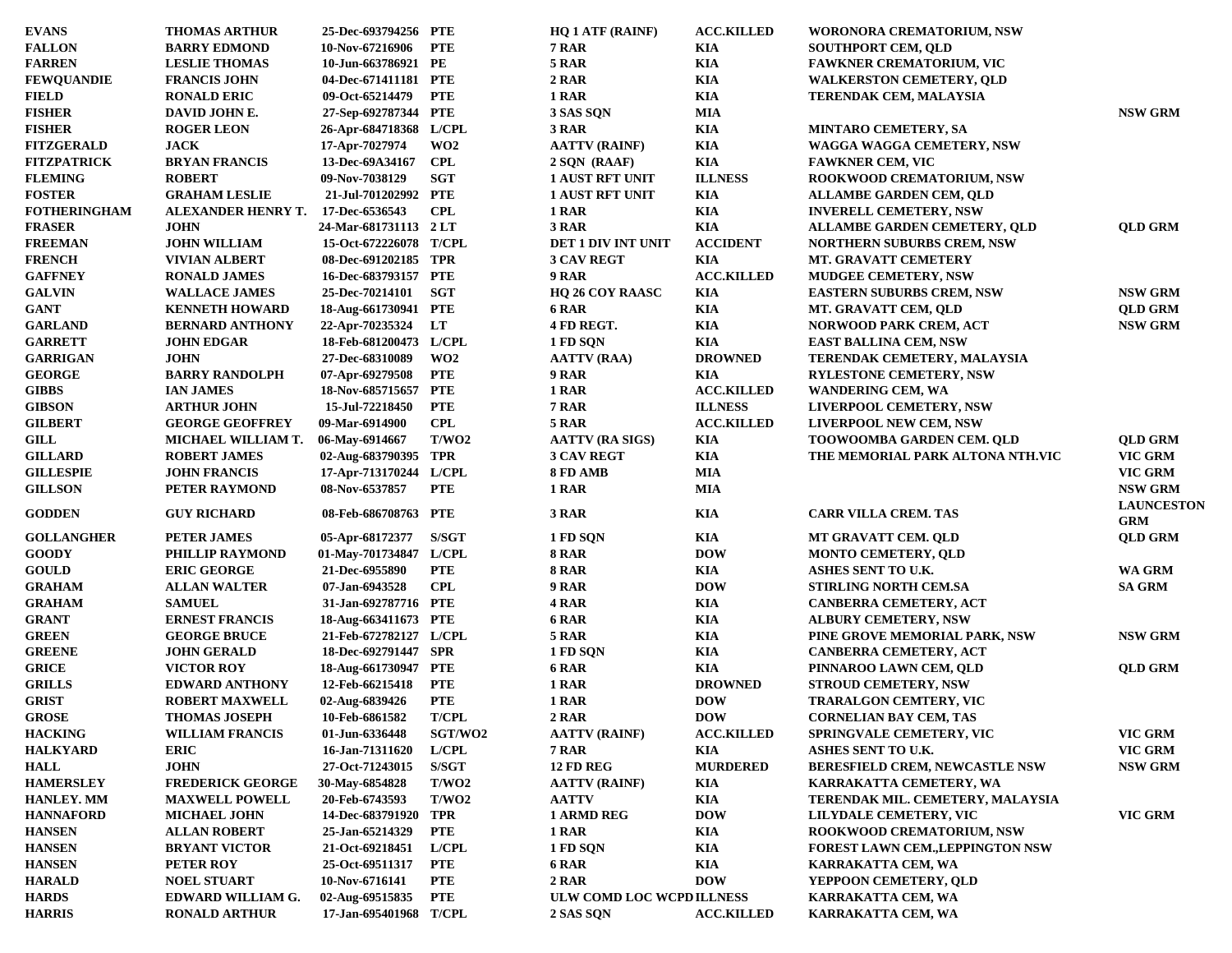| <b>EVANS</b>                  | <b>THOMAS ARTHUR</b>                   | 25-Dec-693794256 PTE   |                 | <b>HQ 1 ATF (RAINF)</b>   | <b>ACC.KILLED</b> | WORONORA CREMATORIUM, NSW                           |                                 |
|-------------------------------|----------------------------------------|------------------------|-----------------|---------------------------|-------------------|-----------------------------------------------------|---------------------------------|
| <b>FALLON</b>                 | <b>BARRY EDMOND</b>                    | 10-Nov-67216906        | <b>PTE</b>      | <b>7 RAR</b>              | KIA               | <b>SOUTHPORT CEM, QLD</b>                           |                                 |
| <b>FARREN</b>                 | <b>LESLIE THOMAS</b>                   | 10-Jun-663786921 PE    |                 | 5 RAR                     | KIA               | <b>FAWKNER CREMATORIUM, VIC</b>                     |                                 |
| <b>FEWQUANDIE</b>             | <b>FRANCIS JOHN</b>                    | 04-Dec-671411181 PTE   |                 | 2 RAR                     | KIA               | <b>WALKERSTON CEMETERY, QLD</b>                     |                                 |
| <b>FIELD</b>                  | <b>RONALD ERIC</b>                     | 09-Oct-65214479        | <b>PTE</b>      | 1 RAR                     | KIA               | <b>TERENDAK CEM, MALAYSIA</b>                       |                                 |
| <b>FISHER</b>                 | DAVID JOHN E.                          | 27-Sep-692787344 PTE   |                 | 3 SAS SON                 | <b>MIA</b>        |                                                     | <b>NSW GRM</b>                  |
| <b>FISHER</b>                 | <b>ROGER LEON</b>                      | 26-Apr-684718368 L/CPL |                 | 3 RAR                     | KIA               | <b>MINTARO CEMETERY, SA</b>                         |                                 |
| <b>FITZGERALD</b>             | <b>JACK</b>                            | 17-Apr-7027974         | WO2             | <b>AATTV (RAINF)</b>      | KIA               | WAGGA WAGGA CEMETERY, NSW                           |                                 |
| <b>FITZPATRICK</b>            | <b>BRYAN FRANCIS</b>                   | 13-Dec-69A34167        | <b>CPL</b>      | $2$ SQN (RAAF)            | KIA               | <b>FAWKNER CEM, VIC</b>                             |                                 |
| <b>FLEMING</b>                | <b>ROBERT</b>                          | 09-Nov-7038129         | <b>SGT</b>      | <b>1 AUST RFT UNIT</b>    | <b>ILLNESS</b>    | <b>ROOKWOOD CREMATORIUM, NSW</b>                    |                                 |
| <b>FOSTER</b>                 | <b>GRAHAM LESLIE</b>                   | 21-Jul-701202992 PTE   |                 | <b>1 AUST RFT UNIT</b>    | KIA               | <b>ALLAMBE GARDEN CEM, QLD</b>                      |                                 |
| <b>FOTHERINGHAM</b>           | ALEXANDER HENRY T. 17-Dec-6536543      |                        | <b>CPL</b>      | 1 RAR                     | KIA               | <b>INVERELL CEMETERY, NSW</b>                       |                                 |
| <b>FRASER</b>                 | <b>JOHN</b>                            | 24-Mar-681731113 2 LT  |                 | 3 RAR                     | KIA               | <b>ALLAMBE GARDEN CEMETERY, OLD</b>                 | <b>QLD GRM</b>                  |
| <b>FREEMAN</b>                | <b>JOHN WILLIAM</b>                    | 15-Oct-672226078 T/CPL |                 | <b>DET 1 DIV INT UNIT</b> | <b>ACCIDENT</b>   | <b>NORTHERN SUBURBS CREM, NSW</b>                   |                                 |
| <b>FRENCH</b>                 | <b>VIVIAN ALBERT</b>                   | 08-Dec-691202185 TPR   |                 | <b>3 CAV REGT</b>         | KIA               | <b>MT. GRAVATT CEMETERY</b>                         |                                 |
| <b>GAFFNEY</b>                | <b>RONALD JAMES</b>                    | 16-Dec-683793157 PTE   |                 | 9 RAR                     | <b>ACC.KILLED</b> | <b>MUDGEE CEMETERY, NSW</b>                         |                                 |
| <b>GALVIN</b>                 | <b>WALLACE JAMES</b>                   | <b>25-Dec-70214101</b> | SGT             | <b>HQ 26 COY RAASC</b>    | KIA               | <b>EASTERN SUBURBS CREM, NSW</b>                    | <b>NSW GRM</b>                  |
| <b>GANT</b>                   | <b>KENNETH HOWARD</b>                  | 18-Aug-661730941 PTE   |                 | <b>6 RAR</b>              | KIA               | MT. GRAVATT CEM, QLD                                | <b>QLD GRM</b>                  |
| <b>GARLAND</b>                | <b>BERNARD ANTHONY</b>                 | 22-Apr-70235324 LT     |                 | 4 FD REGT.                | KIA               | <b>NORWOOD PARK CREM, ACT</b>                       | <b>NSW GRM</b>                  |
| <b>GARRETT</b>                | <b>JOHN EDGAR</b>                      | 18-Feb-681200473 L/CPL |                 | 1 FD SQN                  | KIA               | <b>EAST BALLINA CEM, NSW</b>                        |                                 |
| <b>GARRIGAN</b>               | <b>JOHN</b>                            | 27-Dec-68310089        | WO <sub>2</sub> | <b>AATTV (RAA)</b>        | <b>DROWNED</b>    | <b>TERENDAK CEMETERY, MALAYSIA</b>                  |                                 |
| <b>GEORGE</b>                 | <b>BARRY RANDOLPH</b>                  | 07-Apr-69279508        | <b>PTE</b>      | 9 RAR                     | KIA               | <b>RYLESTONE CEMETERY, NSW</b>                      |                                 |
|                               |                                        | 18-Nov-685715657 PTE   |                 |                           | <b>ACC.KILLED</b> |                                                     |                                 |
| <b>GIBBS</b><br><b>GIBSON</b> | <b>IAN JAMES</b><br><b>ARTHUR JOHN</b> | 15-Jul-72218450        | <b>PTE</b>      | 1 RAR<br>7 RAR            | <b>ILLNESS</b>    | <b>WANDERING CEM, WA</b><br>LIVERPOOL CEMETERY, NSW |                                 |
|                               |                                        |                        |                 |                           |                   |                                                     |                                 |
| <b>GILBERT</b>                | <b>GEORGE GEOFFREY</b>                 | 09-Mar-6914900         | <b>CPL</b>      | 5 RAR                     | <b>ACC.KILLED</b> | LIVERPOOL NEW CEM, NSW                              |                                 |
| <b>GILL</b>                   | MICHAEL WILLIAM T.                     | 06-May-6914667         | T/WO2           | <b>AATTV (RA SIGS)</b>    | KIA               | <b>TOOWOOMBA GARDEN CEM. QLD</b>                    | <b>QLD GRM</b>                  |
| <b>GILLARD</b>                | <b>ROBERT JAMES</b>                    | 02-Aug-683790395 TPR   |                 | <b>3 CAV REGT</b>         | KIA               | THE MEMORIAL PARK ALTONA NTH.VIC                    | VIC GRM                         |
| <b>GILLESPIE</b>              | <b>JOHN FRANCIS</b>                    | 17-Apr-713170244 L/CPL |                 | 8 FD AMB                  | <b>MIA</b>        |                                                     | VIC GRM                         |
| <b>GILLSON</b>                | PETER RAYMOND                          | 08-Nov-6537857         | <b>PTE</b>      | 1 RAR                     | <b>MIA</b>        |                                                     | <b>NSW GRM</b>                  |
| <b>GODDEN</b>                 | <b>GUY RICHARD</b>                     | 08-Feb-686708763 PTE   |                 | 3 RAR                     | KIA               | <b>CARR VILLA CREM. TAS</b>                         | <b>LAUNCESTON</b><br><b>GRM</b> |
| <b>GOLLANGHER</b>             | <b>PETER JAMES</b>                     | 05-Apr-68172377        | <b>S/SGT</b>    | 1 FD SQN                  | KIA               | MT GRAVATT CEM. QLD                                 | <b>QLD GRM</b>                  |
| <b>GOODY</b>                  | PHILLIP RAYMOND                        | 01-May-701734847 L/CPL |                 | <b>8 RAR</b>              | <b>DOW</b>        | <b>MONTO CEMETERY, QLD</b>                          |                                 |
| <b>GOULD</b>                  | <b>ERIC GEORGE</b>                     | 21-Dec-6955890         | <b>PTE</b>      | <b>8 RAR</b>              | KIA               | ASHES SENT TO U.K.                                  | WA GRM                          |
| <b>GRAHAM</b>                 | <b>ALLAN WALTER</b>                    | 07-Jan-6943528         | <b>CPL</b>      | 9 RAR                     | <b>DOW</b>        | <b>STIRLING NORTH CEM.SA</b>                        | <b>SA GRM</b>                   |
| <b>GRAHAM</b>                 | <b>SAMUEL</b>                          | 31-Jan-692787716 PTE   |                 | 4 RAR                     | KIA               | <b>CANBERRA CEMETERY, ACT</b>                       |                                 |
| <b>GRANT</b>                  | <b>ERNEST FRANCIS</b>                  | 18-Aug-663411673 PTE   |                 | <b>6 RAR</b>              | KIA               | <b>ALBURY CEMETERY, NSW</b>                         |                                 |
| <b>GREEN</b>                  | <b>GEORGE BRUCE</b>                    | 21-Feb-672782127 L/CPL |                 | <b>5 RAR</b>              | KIA               | PINE GROVE MEMORIAL PARK, NSW                       | $\operatorname{NSW}$ GRM        |
| <b>GREENE</b>                 | <b>JOHN GERALD</b>                     | 18-Dec-692791447 SPR   |                 | 1 FD SQN                  | KIA               | <b>CANBERRA CEMETERY, ACT</b>                       |                                 |
| <b>GRICE</b>                  | <b>VICTOR ROY</b>                      | 18-Aug-661730947 PTE   |                 | 6 RAR                     | KIA               | PINNAROO LAWN CEM, OLD                              | <b>QLD GRM</b>                  |
| <b>GRILLS</b>                 | <b>EDWARD ANTHONY</b>                  | 12-Feb-66215418        | <b>PTE</b>      | 1 RAR                     | <b>DROWNED</b>    | <b>STROUD CEMETERY, NSW</b>                         |                                 |
| <b>GRIST</b>                  | <b>ROBERT MAXWELL</b>                  | 02-Aug-6839426         | <b>PTE</b>      | 1 RAR                     | <b>DOW</b>        | <b>TRARALGON CEMTERY, VIC</b>                       |                                 |
| <b>GROSE</b>                  | <b>THOMAS JOSEPH</b>                   | 10-Feb-6861582         | <b>T/CPL</b>    | 2 RAR                     | <b>DOW</b>        | <b>CORNELIAN BAY CEM, TAS</b>                       |                                 |
| <b>HACKING</b>                | <b>WILLIAM FRANCIS</b>                 | 01-Jun-6336448         | SGT/WO2         | <b>AATTV (RAINF)</b>      | <b>ACC.KILLED</b> | SPRINGVALE CEMETERY, VIC                            | VIC GRM                         |
| <b>HALKYARD</b>               | <b>ERIC</b>                            | 16-Jan-71311620        | L/ CPL          | 7 RAR                     | KIA               | ASHES SENT TO U.K.                                  | VIC GRM                         |
| <b>HALL</b>                   | <b>JOHN</b>                            | 27-Oct-71243015        | S/SGT           | <b>12 FD REG</b>          | <b>MURDERED</b>   | <b>BERESFIELD CREM, NEWCASTLE NSW</b>               | <b>NSW GRM</b>                  |
| <b>HAMERSLEY</b>              | <b>FREDERICK GEORGE</b>                | 30-May-6854828         | T/WO2           | <b>AATTV (RAINF)</b>      | KIA               | KARRAKATTA CEMETERY, WA                             |                                 |
| HANLEY. MM                    | <b>MAXWELL POWELL</b>                  | 20-Feb-6743593         | T/WO2           | <b>AATTV</b>              | KIA               | TERENDAK MIL. CEMETERY, MALAYSIA                    |                                 |
| <b>HANNAFORD</b>              | <b>MICHAEL JOHN</b>                    | 14-Dec-683791920       | <b>TPR</b>      | 1 ARMD REG                | <b>DOW</b>        | LILYDALE CEMETERY, VIC                              | VIC GRM                         |
| <b>HANSEN</b>                 | <b>ALLAN ROBERT</b>                    | 25-Jan-65214329        | <b>PTE</b>      | 1 RAR                     | KIA               | ROOKWOOD CREMATORIUM, NSW                           |                                 |
| <b>HANSEN</b>                 | <b>BRYANT VICTOR</b>                   | 21-Oct-69218451        | L/ CPL          | 1 FD SQN                  | KIA               | FOREST LAWN CEM., LEPPINGTON NSW                    |                                 |
| <b>HANSEN</b>                 | PETER ROY                              | 25-Oct-69511317        | <b>PTE</b>      | 6 RAR                     | KIA               | KARRAKATTA CEM, WA                                  |                                 |
| <b>HARALD</b>                 | <b>NOEL STUART</b>                     | 10-Nov-6716141         | <b>PTE</b>      | 2 RAR                     | <b>DOW</b>        | YEPPOON CEMETERY, QLD                               |                                 |
| <b>HARDS</b>                  | EDWARD WILLIAM G.                      | 02-Aug-69515835        | <b>PTE</b>      | ULW COMD LOC WCPD ILLNESS |                   | KARRAKATTA CEM, WA                                  |                                 |
| <b>HARRIS</b>                 | <b>RONALD ARTHUR</b>                   | 17-Jan-695401968 T/CPL |                 |                           |                   | KARRAKATTA CEM, WA                                  |                                 |
|                               |                                        |                        |                 | 2 SAS SQN                 | <b>ACC.KILLED</b> |                                                     |                                 |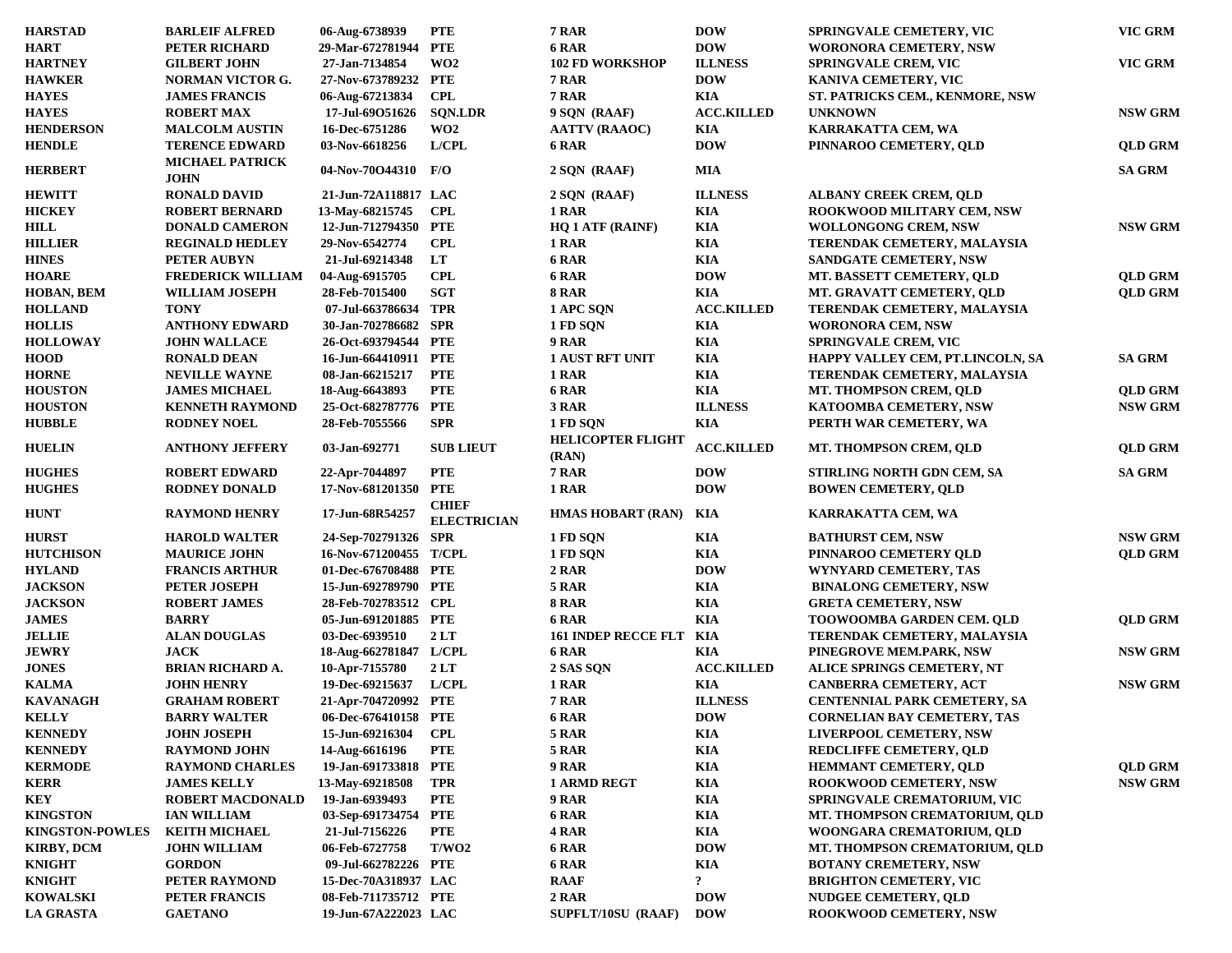| <b>HARSTAD</b>         | <b>BARLEIF ALFRED</b>                 | 06-Aug-6738939         | <b>PTE</b>                         | 7 RAR                             | <b>DOW</b>        | SPRINGVALE CEMETERY, VIC            | VIC GRM        |
|------------------------|---------------------------------------|------------------------|------------------------------------|-----------------------------------|-------------------|-------------------------------------|----------------|
| <b>HART</b>            | PETER RICHARD                         | 29-Mar-672781944 PTE   |                                    | 6 RAR                             | <b>DOW</b>        | <b>WORONORA CEMETERY, NSW</b>       |                |
| <b>HARTNEY</b>         | <b>GILBERT JOHN</b>                   | 27-Jan-7134854         | WO <sub>2</sub>                    | <b>102 FD WORKSHOP</b>            | <b>ILLNESS</b>    | <b>SPRINGVALE CREM, VIC</b>         | VIC GRM        |
| <b>HAWKER</b>          | <b>NORMAN VICTOR G.</b>               | 27-Nov-673789232       | PTE                                | 7 RAR                             | <b>DOW</b>        | KANIVA CEMETERY, VIC                |                |
| <b>HAYES</b>           | <b>JAMES FRANCIS</b>                  | 06-Aug-67213834        | <b>CPL</b>                         | 7 RAR                             | <b>KIA</b>        | ST. PATRICKS CEM., KENMORE, NSW     |                |
| <b>HAYES</b>           | <b>ROBERT MAX</b>                     | 17-Jul-69O51626        | <b>SQN.LDR</b>                     | 9 SQN (RAAF)                      | <b>ACC.KILLED</b> | <b>UNKNOWN</b>                      | <b>NSW GRM</b> |
| <b>HENDERSON</b>       | <b>MALCOLM AUSTIN</b>                 | 16-Dec-6751286         | WO <sub>2</sub>                    | <b>AATTV (RAAOC)</b>              | <b>KIA</b>        | KARRAKATTA CEM, WA                  |                |
| <b>HENDLE</b>          | <b>TERENCE EDWARD</b>                 | 03-Nov-6618256         | L/CPL                              | 6 RAR                             | <b>DOW</b>        | PINNAROO CEMETERY, QLD              | <b>QLD GRM</b> |
| <b>HERBERT</b>         | <b>MICHAEL PATRICK</b><br><b>JOHN</b> | 04-Nov-70O44310 F/O    |                                    | 2 SQN (RAAF)                      | <b>MIA</b>        |                                     | <b>SA GRM</b>  |
| <b>HEWITT</b>          | <b>RONALD DAVID</b>                   | 21-Jun-72A118817 LAC   |                                    | 2 SQN (RAAF)                      | <b>ILLNESS</b>    | <b>ALBANY CREEK CREM, OLD</b>       |                |
| <b>HICKEY</b>          | <b>ROBERT BERNARD</b>                 | 13-May-68215745        | CPL                                | 1 RAR                             | <b>KIA</b>        | ROOKWOOD MILITARY CEM, NSW          |                |
| HILL                   | <b>DONALD CAMERON</b>                 | 12-Jun-712794350 PTE   |                                    | <b>HQ 1 ATF (RAINF)</b>           | <b>KIA</b>        | <b>WOLLONGONG CREM, NSW</b>         | <b>NSW GRM</b> |
| <b>HILLIER</b>         | <b>REGINALD HEDLEY</b>                | 29-Nov-6542774         | <b>CPL</b>                         | 1 RAR                             | <b>KIA</b>        | TERENDAK CEMETERY, MALAYSIA         |                |
| <b>HINES</b>           | PETER AUBYN                           | 21-Jul-69214348        | LT                                 | 6 RAR                             | <b>KIA</b>        | <b>SANDGATE CEMETERY, NSW</b>       |                |
| <b>HOARE</b>           | <b>FREDERICK WILLIAM</b>              | 04-Aug-6915705         | <b>CPL</b>                         | 6 RAR                             | <b>DOW</b>        | MT. BASSETT CEMETERY, QLD           | <b>QLD GRM</b> |
| HOBAN, BEM             | WILLIAM JOSEPH                        | 28-Feb-7015400         | <b>SGT</b>                         | <b>8 RAR</b>                      | <b>KIA</b>        | MT. GRAVATT CEMETERY, QLD           | <b>QLD GRM</b> |
| <b>HOLLAND</b>         | <b>TONY</b>                           | 07-Jul-663786634 TPR   |                                    | 1 APC SQN                         | <b>ACC.KILLED</b> | TERENDAK CEMETERY, MALAYSIA         |                |
| <b>HOLLIS</b>          | <b>ANTHONY EDWARD</b>                 | 30-Jan-702786682 SPR   |                                    | 1 FD SQN                          | <b>KIA</b>        | <b>WORONORA CEM, NSW</b>            |                |
| <b>HOLLOWAY</b>        | <b>JOHN WALLACE</b>                   | 26-Oct-693794544 PTE   |                                    | 9 RAR                             | <b>KIA</b>        | <b>SPRINGVALE CREM, VIC</b>         |                |
| <b>HOOD</b>            | <b>RONALD DEAN</b>                    | 16-Jun-664410911 PTE   |                                    | <b>1 AUST RFT UNIT</b>            | <b>KIA</b>        | HAPPY VALLEY CEM, PT.LINCOLN, SA    | <b>SA GRM</b>  |
| <b>HORNE</b>           | <b>NEVILLE WAYNE</b>                  | 08-Jan-66215217        | <b>PTE</b>                         | 1 RAR                             | <b>KIA</b>        | TERENDAK CEMETERY, MALAYSIA         |                |
| <b>HOUSTON</b>         | <b>JAMES MICHAEL</b>                  | 18-Aug-6643893         | <b>PTE</b>                         | 6 RAR                             | <b>KIA</b>        | <b>MT. THOMPSON CREM, OLD</b>       | <b>QLD GRM</b> |
| <b>HOUSTON</b>         | <b>KENNETH RAYMOND</b>                | 25-Oct-682787776       | PTE                                | 3 RAR                             | <b>ILLNESS</b>    | KATOOMBA CEMETERY, NSW              | <b>NSW GRM</b> |
| <b>HUBBLE</b>          | <b>RODNEY NOEL</b>                    | 28-Feb-7055566         | <b>SPR</b>                         | 1 FD SQN                          | <b>KIA</b>        | PERTH WAR CEMETERY, WA              |                |
| <b>HUELIN</b>          | <b>ANTHONY JEFFERY</b>                | 03-Jan-692771          | <b>SUB LIEUT</b>                   | <b>HELICOPTER FLIGHT</b><br>(RAN) | <b>ACC.KILLED</b> | MT. THOMPSON CREM, QLD              | <b>QLD GRM</b> |
| <b>HUGHES</b>          | <b>ROBERT EDWARD</b>                  | 22-Apr-7044897         | <b>PTE</b>                         | 7 RAR                             | <b>DOW</b>        | STIRLING NORTH GDN CEM, SA          | <b>SA GRM</b>  |
| <b>HUGHES</b>          | <b>RODNEY DONALD</b>                  | 17-Nov-681201350       | <b>PTE</b>                         | 1 RAR                             | <b>DOW</b>        | <b>BOWEN CEMETERY, QLD</b>          |                |
| <b>HUNT</b>            | <b>RAYMOND HENRY</b>                  | 17-Jun-68R54257        | <b>CHIEF</b><br><b>ELECTRICIAN</b> | <b>HMAS HOBART (RAN)</b>          | KIA               | KARRAKATTA CEM, WA                  |                |
| <b>HURST</b>           | <b>HAROLD WALTER</b>                  | 24-Sep-702791326 SPR   |                                    | 1 FD SQN                          | KIA               | <b>BATHURST CEM, NSW</b>            | <b>NSW GRM</b> |
| <b>HUTCHISON</b>       | <b>MAURICE JOHN</b>                   | 16-Nov-671200455 T/CPL |                                    | 1 FD SQN                          | KIA               | PINNAROO CEMETERY QLD               | <b>QLD GRM</b> |
| <b>HYLAND</b>          | <b>FRANCIS ARTHUR</b>                 | 01-Dec-676708488 PTE   |                                    | 2 RAR                             | <b>DOW</b>        | <b>WYNYARD CEMETERY, TAS</b>        |                |
| <b>JACKSON</b>         | <b>PETER JOSEPH</b>                   | 15-Jun-692789790 PTE   |                                    | 5 RAR                             | <b>KIA</b>        | <b>BINALONG CEMETERY, NSW</b>       |                |
| <b>JACKSON</b>         | <b>ROBERT JAMES</b>                   | 28-Feb-702783512 CPL   |                                    | <b>8 RAR</b>                      | <b>KIA</b>        | <b>GRETA CEMETERY, NSW</b>          |                |
| <b>JAMES</b>           | <b>BARRY</b>                          | 05-Jun-691201885 PTE   |                                    | 6 RAR                             | <b>KIA</b>        | <b>TOOWOOMBA GARDEN CEM. QLD</b>    | <b>QLD GRM</b> |
| <b>JELLIE</b>          | <b>ALAN DOUGLAS</b>                   | 03-Dec-6939510         | 2LT                                | <b>161 INDEP RECCE FLT KIA</b>    |                   | TERENDAK CEMETERY, MALAYSIA         |                |
| <b>JEWRY</b>           | <b>JACK</b>                           | 18-Aug-662781847 L/CPL |                                    | 6 RAR                             | <b>KIA</b>        | PINEGROVE MEM.PARK, NSW             | <b>NSW GRM</b> |
| <b>JONES</b>           | <b>BRIAN RICHARD A.</b>               | 10-Apr-7155780         | 2LT                                | 2 SAS SQN                         | <b>ACC.KILLED</b> | <b>ALICE SPRINGS CEMETERY, NT</b>   |                |
| <b>KALMA</b>           | <b>JOHN HENRY</b>                     | 19-Dec-69215637        | L/CPL                              | 1 RAR                             | <b>KIA</b>        | <b>CANBERRA CEMETERY, ACT</b>       | <b>NSW GRM</b> |
| <b>KAVANAGH</b>        | <b>GRAHAM ROBERT</b>                  | 21-Apr-704720992 PTE   |                                    | 7 RAR                             | <b>ILLNESS</b>    | <b>CENTENNIAL PARK CEMETERY, SA</b> |                |
| <b>KELLY</b>           | <b>BARRY WALTER</b>                   | 06-Dec-676410158 PTE   |                                    | 6 RAR                             | <b>DOW</b>        | <b>CORNELIAN BAY CEMETERY, TAS</b>  |                |
| <b>KENNEDY</b>         | <b>JOHN JOSEPH</b>                    | 15-Jun-69216304        | <b>CPL</b>                         | 5 RAR                             | <b>KIA</b>        | LIVERPOOL CEMETERY, NSW             |                |
| <b>KENNEDY</b>         | <b>RAYMOND JOHN</b>                   | 14-Aug-6616196         | <b>PTE</b>                         | 5 RAR                             | KIA               | REDCLIFFE CEMETERY, QLD             |                |
| <b>KERMODE</b>         | <b>RAYMOND CHARLES</b>                | 19-Jan-691733818 PTE   |                                    | 9 RAR                             | KIA               | HEMMANT CEMETERY, QLD               | <b>QLD GRM</b> |
| KERR                   | <b>JAMES KELLY</b>                    | 13-May-69218508        | TPR                                | <b>1 ARMD REGT</b>                | KIA               | <b>ROOKWOOD CEMETERY, NSW</b>       | <b>NSW GRM</b> |
| KEY                    | <b>ROBERT MACDONALD</b>               | 19-Jan-6939493         | <b>PTE</b>                         | 9 RAR                             | KIA               | <b>SPRINGVALE CREMATORIUM, VIC</b>  |                |
| <b>KINGSTON</b>        | <b>IAN WILLIAM</b>                    | 03-Sep-691734754       | PTE                                | 6 RAR                             | <b>KIA</b>        | MT. THOMPSON CREMATORIUM, QLD       |                |
| <b>KINGSTON-POWLES</b> | <b>KEITH MICHAEL</b>                  | 21-Jul-7156226         | PTE                                | 4 RAR                             | KIA               | WOONGARA CREMATORIUM, QLD           |                |
| <b>KIRBY, DCM</b>      | <b>JOHN WILLIAM</b>                   | 06-Feb-6727758         | T/WO2                              | 6 RAR                             | <b>DOW</b>        | MT. THOMPSON CREMATORIUM, QLD       |                |
| <b>KNIGHT</b>          | <b>GORDON</b>                         | 09-Jul-662782226 PTE   |                                    | 6 RAR                             | <b>KIA</b>        | <b>BOTANY CREMETERY, NSW</b>        |                |
| <b>KNIGHT</b>          | PETER RAYMOND                         | 15-Dec-70A318937 LAC   |                                    | <b>RAAF</b>                       | $\ddot{\cdot}$    | <b>BRIGHTON CEMETERY, VIC</b>       |                |
| <b>KOWALSKI</b>        | PETER FRANCIS                         | 08-Feb-711735712 PTE   |                                    | 2 RAR                             | <b>DOW</b>        | <b>NUDGEE CEMETERY, QLD</b>         |                |
| <b>LA GRASTA</b>       | <b>GAETANO</b>                        | 19-Jun-67A222023 LAC   |                                    | SUPFLT/10SU (RAAF)                | <b>DOW</b>        | <b>ROOKWOOD CEMETERY, NSW</b>       |                |
|                        |                                       |                        |                                    |                                   |                   |                                     |                |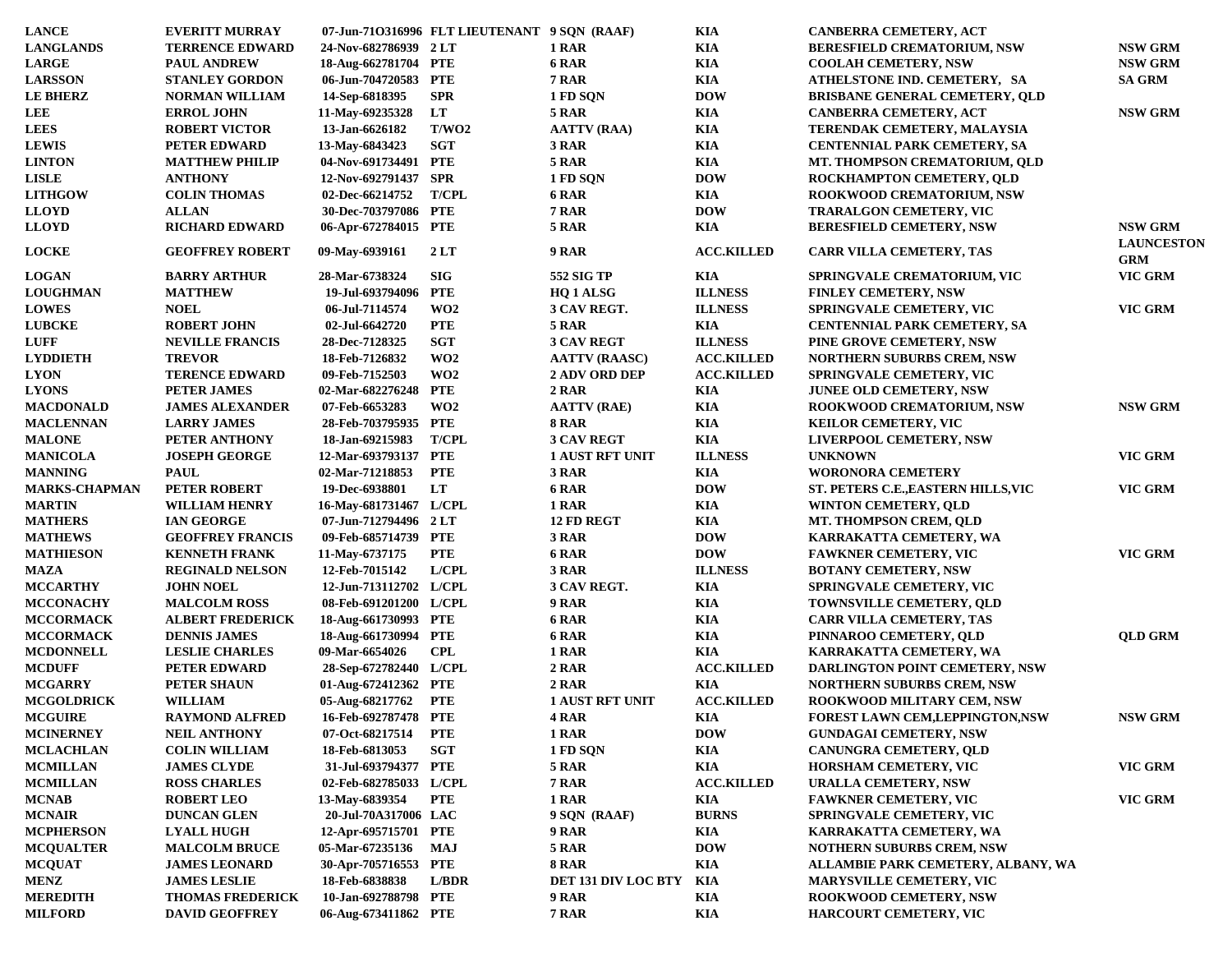| <b>LANCE</b>         | <b>EVERITT MURRAY</b>   |                        | 07-Jun-710316996 FLT LIEUTENANT 9 SQN (RAAF) |                            | KIA               | <b>CANBERRA CEMETERY, ACT</b>           |                                 |
|----------------------|-------------------------|------------------------|----------------------------------------------|----------------------------|-------------------|-----------------------------------------|---------------------------------|
| <b>LANGLANDS</b>     | <b>TERRENCE EDWARD</b>  | 24-Nov-682786939 2LT   |                                              | 1 RAR                      | KIA               | <b>BERESFIELD CREMATORIUM, NSW</b>      | <b>NSW GRM</b>                  |
| <b>LARGE</b>         | <b>PAUL ANDREW</b>      | 18-Aug-662781704 PTE   |                                              | 6 RAR                      | KIA               | <b>COOLAH CEMETERY, NSW</b>             | <b>NSW GRM</b>                  |
| <b>LARSSON</b>       | <b>STANLEY GORDON</b>   | 06-Jun-704720583 PTE   |                                              | <b>7 RAR</b>               | KIA               | ATHELSTONE IND. CEMETERY, SA            | <b>SA GRM</b>                   |
| <b>LE BHERZ</b>      | <b>NORMAN WILLIAM</b>   | 14-Sep-6818395         | <b>SPR</b>                                   | 1 FD SQN                   | <b>DOW</b>        | <b>BRISBANE GENERAL CEMETERY, QLD</b>   |                                 |
| <b>LEE</b>           | <b>ERROL JOHN</b>       | 11-May-69235328        | LT                                           | 5 RAR                      | KIA               | <b>CANBERRA CEMETERY, ACT</b>           | <b>NSW GRM</b>                  |
| <b>LEES</b>          | <b>ROBERT VICTOR</b>    | 13-Jan-6626182         | T/WO2                                        | <b>AATTV (RAA)</b>         | KIA               | TERENDAK CEMETERY, MALAYSIA             |                                 |
| <b>LEWIS</b>         | PETER EDWARD            | 13-May-6843423         | <b>SGT</b>                                   | 3 RAR                      | KIA               | <b>CENTENNIAL PARK CEMETERY, SA</b>     |                                 |
| <b>LINTON</b>        | <b>MATTHEW PHILIP</b>   | 04-Nov-691734491 PTE   |                                              | 5 RAR                      | KIA               | MT. THOMPSON CREMATORIUM, QLD           |                                 |
| <b>LISLE</b>         | <b>ANTHONY</b>          | 12-Nov-692791437 SPR   |                                              | 1 FD SQN                   | <b>DOW</b>        | ROCKHAMPTON CEMETERY, OLD               |                                 |
| <b>LITHGOW</b>       | <b>COLIN THOMAS</b>     | 02-Dec-66214752        | <b>T/CPL</b>                                 | 6 RAR                      | KIA               | ROOKWOOD CREMATORIUM, NSW               |                                 |
| <b>LLOYD</b>         | <b>ALLAN</b>            | 30-Dec-703797086 PTE   |                                              | 7 RAR                      | <b>DOW</b>        | <b>TRARALGON CEMETERY, VIC</b>          |                                 |
| <b>LLOYD</b>         | <b>RICHARD EDWARD</b>   | 06-Apr-672784015 PTE   |                                              | 5 RAR                      | KIA               | <b>BERESFIELD CEMETERY, NSW</b>         | <b>NSW GRM</b>                  |
| <b>LOCKE</b>         | <b>GEOFFREY ROBERT</b>  | 09-May-6939161         | 2LT                                          | 9 RAR                      | <b>ACC.KILLED</b> | <b>CARR VILLA CEMETERY, TAS</b>         | <b>LAUNCESTON</b><br><b>GRM</b> |
| <b>LOGAN</b>         | <b>BARRY ARTHUR</b>     | 28-Mar-6738324         | <b>SIG</b>                                   | 552 SIG TP                 | <b>KIA</b>        | <b>SPRINGVALE CREMATORIUM, VIC</b>      | VIC GRM                         |
| <b>LOUGHMAN</b>      | <b>MATTHEW</b>          | 19-Jul-693794096       | <b>PTE</b>                                   | HQ 1 ALSG                  | <b>ILLNESS</b>    | <b>FINLEY CEMETERY, NSW</b>             |                                 |
| <b>LOWES</b>         | <b>NOEL</b>             | 06-Jul-7114574         | WO <sub>2</sub>                              | 3 CAV REGT.                | <b>ILLNESS</b>    | SPRINGVALE CEMETERY, VIC                | VIC GRM                         |
| <b>LUBCKE</b>        | <b>ROBERT JOHN</b>      | 02-Jul-6642720         | <b>PTE</b>                                   | <b>5 RAR</b>               | KIA               | <b>CENTENNIAL PARK CEMETERY, SA</b>     |                                 |
| <b>LUFF</b>          | <b>NEVILLE FRANCIS</b>  | 28-Dec-7128325         | <b>SGT</b>                                   | <b>3 CAV REGT</b>          | <b>ILLNESS</b>    | PINE GROVE CEMETERY, NSW                |                                 |
| <b>LYDDIETH</b>      | <b>TREVOR</b>           | 18-Feb-7126832         | WO <sub>2</sub>                              | <b>AATTV (RAASC)</b>       | <b>ACC.KILLED</b> | <b>NORTHERN SUBURBS CREM, NSW</b>       |                                 |
| <b>LYON</b>          | <b>TERENCE EDWARD</b>   | 09-Feb-7152503         | WO <sub>2</sub>                              | <b>2 ADV ORD DEP</b>       | <b>ACC.KILLED</b> | <b>SPRINGVALE CEMETERY, VIC</b>         |                                 |
| <b>LYONS</b>         | PETER JAMES             | 02-Mar-682276248       | <b>PTE</b>                                   | 2 RAR                      | KIA               | JUNEE OLD CEMETERY, NSW                 |                                 |
| <b>MACDONALD</b>     | <b>JAMES ALEXANDER</b>  | 07-Feb-6653283         | WO2                                          | <b>AATTV (RAE)</b>         | KIA               | <b>ROOKWOOD CREMATORIUM, NSW</b>        | <b>NSW GRM</b>                  |
| <b>MACLENNAN</b>     | <b>LARRY JAMES</b>      | 28-Feb-703795935 PTE   |                                              | 8 RAR                      | KIA               | <b>KEILOR CEMETERY, VIC</b>             |                                 |
| <b>MALONE</b>        | PETER ANTHONY           | 18-Jan-69215983        | <b>T/CPL</b>                                 | <b>3 CAV REGT</b>          | KIA               | <b>LIVERPOOL CEMETERY, NSW</b>          |                                 |
| <b>MANICOLA</b>      | <b>JOSEPH GEORGE</b>    | 12-Mar-693793137 PTE   |                                              | <b>1 AUST RFT UNIT</b>     | <b>ILLNESS</b>    | <b>UNKNOWN</b>                          | VIC GRM                         |
| <b>MANNING</b>       | <b>PAUL</b>             |                        | <b>PTE</b>                                   | 3 RAR                      | KIA               | <b>WORONORA CEMETERY</b>                |                                 |
| <b>MARKS-CHAPMAN</b> |                         | 02-Mar-71218853        | LT                                           | 6 RAR                      | <b>DOW</b>        |                                         | VIC GRM                         |
|                      | PETER ROBERT            | 19-Dec-6938801         |                                              |                            |                   | ST. PETERS C.E., EASTERN HILLS, VIC     |                                 |
| <b>MARTIN</b>        | <b>WILLIAM HENRY</b>    | 16-May-681731467 L/CPL |                                              | 1 RAR                      | KIA               | <b>WINTON CEMETERY, QLD</b>             |                                 |
| <b>MATHERS</b>       | <b>IAN GEORGE</b>       | 07-Jun-712794496 2 LT  |                                              | 12 FD REGT                 | KIA               | MT. THOMPSON CREM, QLD                  |                                 |
| <b>MATHEWS</b>       | <b>GEOFFREY FRANCIS</b> | 09-Feb-685714739 PTE   |                                              | 3 RAR                      | <b>DOW</b>        | KARRAKATTA CEMETERY, WA                 |                                 |
| <b>MATHIESON</b>     | <b>KENNETH FRANK</b>    | 11-May-6737175         | <b>PTE</b>                                   | 6 RAR                      | <b>DOW</b>        | <b>FAWKNER CEMETERY, VIC</b>            | VIC GRM                         |
| <b>MAZA</b>          | <b>REGINALD NELSON</b>  | 12-Feb-7015142         | L/CH                                         | 3 RAR                      | <b>ILLNESS</b>    | <b>BOTANY CEMETERY, NSW</b>             |                                 |
| <b>MCCARTHY</b>      | <b>JOHN NOEL</b>        | 12-Jun-713112702 L/CPL |                                              | 3 CAV REGT.                | KIA               | <b>SPRINGVALE CEMETERY, VIC</b>         |                                 |
| <b>MCCONACHY</b>     | <b>MALCOLM ROSS</b>     | 08-Feb-691201200 L/CPL |                                              | 9 RAR                      | KIA               | <b>TOWNSVILLE CEMETERY, QLD</b>         |                                 |
| <b>MCCORMACK</b>     | <b>ALBERT FREDERICK</b> | 18-Aug-661730993 PTE   |                                              | 6 RAR                      | KIA               | <b>CARR VILLA CEMETERY, TAS</b>         |                                 |
| <b>MCCORMACK</b>     | <b>DENNIS JAMES</b>     | 18-Aug-661730994 PTE   |                                              | 6 RAR                      | KIA               | PINNAROO CEMETERY, QLD                  | <b>OLD GRM</b>                  |
| <b>MCDONNELL</b>     | <b>LESLIE CHARLES</b>   | 09-Mar-6654026         | <b>CPL</b>                                   | 1 RAR                      | KIA               | KARRAKATTA CEMETERY, WA                 |                                 |
| <b>MCDUFF</b>        | <b>PETER EDWARD</b>     | 28-Sep-672782440 L/CPL |                                              | 2 RAR                      | <b>ACC.KILLED</b> | <b>DARLINGTON POINT CEMETERY, NSW</b>   |                                 |
| <b>MCGARRY</b>       | PETER SHAUN             | 01-Aug-672412362 PTE   |                                              | 2 RAR                      | KIA               | <b>NORTHERN SUBURBS CREM, NSW</b>       |                                 |
| <b>MCGOLDRICK</b>    | <b>WILLIAM</b>          | 05-Aug-68217762        | <b>PTE</b>                                   | <b>1 AUST RFT UNIT</b>     | <b>ACC.KILLED</b> | <b>ROOKWOOD MILITARY CEM, NSW</b>       |                                 |
| <b>MCGUIRE</b>       | <b>RAYMOND ALFRED</b>   | 16-Feb-692787478 PTE   |                                              | 4 RAR                      | KIA               | <b>FOREST LAWN CEM, LEPPINGTON, NSW</b> | <b>NSW GRM</b>                  |
| <b>MCINERNEY</b>     | <b>NEIL ANTHONY</b>     | 07-Oct-68217514        | <b>PTE</b>                                   | 1 RAR                      | <b>DOW</b>        | <b>GUNDAGAI CEMETERY, NSW</b>           |                                 |
| <b>MCLACHLAN</b>     | <b>COLIN WILLIAM</b>    | 18-Feb-6813053         | <b>SGT</b>                                   | 1 FD SQN                   | KIA               | CANUNGRA CEMETERY, QLD                  |                                 |
| <b>MCMILLAN</b>      | <b>JAMES CLYDE</b>      | 31-Jul-693794377 PTE   |                                              | 5 RAR                      | KIA               | <b>HORSHAM CEMETERY, VIC</b>            | VIC GRM                         |
| <b>MCMILLAN</b>      | <b>ROSS CHARLES</b>     | 02-Feb-682785033 L/CPL |                                              | <b>7 RAR</b>               | <b>ACC.KILLED</b> | <b>URALLA CEMETERY, NSW</b>             |                                 |
| <b>MCNAB</b>         | <b>ROBERT LEO</b>       | 13-May-6839354         | <b>PTE</b>                                   | 1 RAR                      | KIA               | <b>FAWKNER CEMETERY, VIC</b>            | VIC GRM                         |
| <b>MCNAIR</b>        | <b>DUNCAN GLEN</b>      | 20-Jul-70A317006 LAC   |                                              | 9 SQN (RAAF)               | <b>BURNS</b>      | SPRINGVALE CEMETERY, VIC                |                                 |
| <b>MCPHERSON</b>     | <b>LYALL HUGH</b>       | 12-Apr-695715701 PTE   |                                              | <b>9 RAR</b>               | KIA               | KARRAKATTA CEMETERY, WA                 |                                 |
| <b>MCQUALTER</b>     | <b>MALCOLM BRUCE</b>    | 05-Mar-67235136        | MAJ                                          | 5 RAR                      | <b>DOW</b>        | <b>NOTHERN SUBURBS CREM, NSW</b>        |                                 |
| <b>MCQUAT</b>        | <b>JAMES LEONARD</b>    | 30-Apr-705716553 PTE   |                                              | <b>8 RAR</b>               | KIA               | ALLAMBIE PARK CEMETERY, ALBANY, WA      |                                 |
| <b>MENZ</b>          | <b>JAMES LESLIE</b>     | 18-Feb-6838838         | L/BDR                                        | <b>DET 131 DIV LOC BTY</b> | KIA               | <b>MARYSVILLE CEMETERY, VIC</b>         |                                 |
| <b>MEREDITH</b>      | <b>THOMAS FREDERICK</b> | 10-Jan-692788798 PTE   |                                              | 9 RAR                      | KIA               | <b>ROOKWOOD CEMETERY, NSW</b>           |                                 |
| <b>MILFORD</b>       | <b>DAVID GEOFFREY</b>   | 06-Aug-673411862 PTE   |                                              | <b>7 RAR</b>               | KIA               | HARCOURT CEMETERY, VIC                  |                                 |
|                      |                         |                        |                                              |                            |                   |                                         |                                 |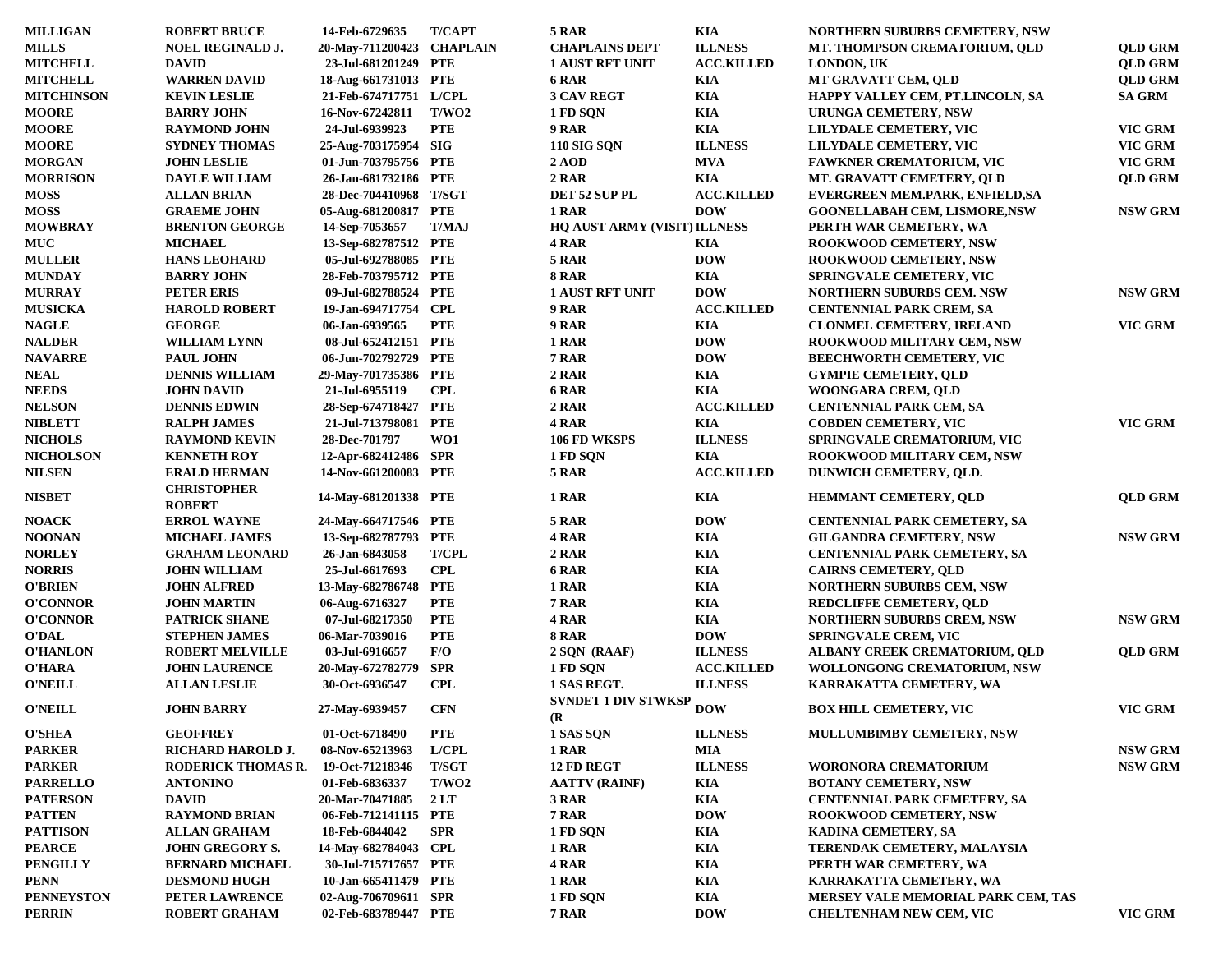| <b>MILLIGAN</b>   | <b>ROBERT BRUCE</b>                 | 14-Feb-6729635            | <b>T/CAPT</b> | 5 RAR                        | KIA               | <b>NORTHERN SUBURBS CEMETERY, NSW</b> |                |
|-------------------|-------------------------------------|---------------------------|---------------|------------------------------|-------------------|---------------------------------------|----------------|
| <b>MILLS</b>      | <b>NOEL REGINALD J.</b>             | 20-May-711200423 CHAPLAIN |               | <b>CHAPLAINS DEPT</b>        | <b>ILLNESS</b>    | MT. THOMPSON CREMATORIUM, QLD         | <b>QLD GRM</b> |
| <b>MITCHELL</b>   | <b>DAVID</b>                        | 23-Jul-681201249 PTE      |               | <b>1 AUST RFT UNIT</b>       | <b>ACC.KILLED</b> | <b>LONDON, UK</b>                     | <b>QLD GRM</b> |
| <b>MITCHELL</b>   | <b>WARREN DAVID</b>                 | 18-Aug-661731013 PTE      |               | 6 RAR                        | KIA               | MT GRAVATT CEM, OLD                   | <b>QLD GRM</b> |
| <b>MITCHINSON</b> | <b>KEVIN LESLIE</b>                 | 21-Feb-674717751 L/CPL    |               | <b>3 CAV REGT</b>            | <b>KIA</b>        | HAPPY VALLEY CEM, PT.LINCOLN, SA      | <b>SA GRM</b>  |
| <b>MOORE</b>      | <b>BARRY JOHN</b>                   | 16-Nov-67242811           | T/WO2         | 1 FD SQN                     | KIA               | <b>URUNGA CEMETERY, NSW</b>           |                |
| <b>MOORE</b>      | <b>RAYMOND JOHN</b>                 | 24-Jul-6939923            | <b>PTE</b>    | 9 RAR                        | <b>KIA</b>        | LILYDALE CEMETERY, VIC                | VIC GRM        |
| <b>MOORE</b>      | <b>SYDNEY THOMAS</b>                | 25-Aug-703175954 SIG      |               | <b>110 SIG SON</b>           | <b>ILLNESS</b>    | LILYDALE CEMETERY, VIC                | VIC GRM        |
| <b>MORGAN</b>     | <b>JOHN LESLIE</b>                  | 01-Jun-703795756 PTE      |               | <b>2 AOD</b>                 | <b>MVA</b>        | <b>FAWKNER CREMATORIUM, VIC</b>       | VIC GRM        |
| <b>MORRISON</b>   | <b>DAYLE WILLIAM</b>                | 26-Jan-681732186 PTE      |               | 2 RAR                        | KIA               | MT. GRAVATT CEMETERY, QLD             | <b>QLD GRM</b> |
| <b>MOSS</b>       | <b>ALLAN BRIAN</b>                  | 28-Dec-704410968 T/SGT    |               | DET 52 SUP PL                | <b>ACC.KILLED</b> | EVERGREEN MEM.PARK, ENFIELD,SA        |                |
| <b>MOSS</b>       | <b>GRAEME JOHN</b>                  | 05-Aug-681200817 PTE      |               | 1 RAR                        | <b>DOW</b>        | <b>GOONELLABAH CEM, LISMORE, NSW</b>  | <b>NSW GRM</b> |
| <b>MOWBRAY</b>    | <b>BRENTON GEORGE</b>               | 14-Sep-7053657            | <b>T/MAJ</b>  | HQ AUST ARMY (VISIT) ILLNESS |                   | PERTH WAR CEMETERY, WA                |                |
| <b>MUC</b>        | <b>MICHAEL</b>                      | 13-Sep-682787512 PTE      |               |                              |                   |                                       |                |
|                   |                                     |                           |               | 4 RAR                        | KIA               | <b>ROOKWOOD CEMETERY, NSW</b>         |                |
| <b>MULLER</b>     | <b>HANS LEOHARD</b>                 | 05-Jul-692788085 PTE      |               | 5 RAR                        | <b>DOW</b>        | <b>ROOKWOOD CEMETERY, NSW</b>         |                |
| <b>MUNDAY</b>     | <b>BARRY JOHN</b>                   | 28-Feb-703795712 PTE      |               | 8 RAR                        | KIA               | <b>SPRINGVALE CEMETERY, VIC</b>       |                |
| <b>MURRAY</b>     | <b>PETER ERIS</b>                   | 09-Jul-682788524 PTE      |               | <b>1 AUST RFT UNIT</b>       | <b>DOW</b>        | <b>NORTHERN SUBURBS CEM. NSW</b>      | <b>NSW GRM</b> |
| <b>MUSICKA</b>    | <b>HAROLD ROBERT</b>                | 19-Jan-694717754 CPL      |               | 9 RAR                        | <b>ACC.KILLED</b> | <b>CENTENNIAL PARK CREM, SA</b>       |                |
| <b>NAGLE</b>      | <b>GEORGE</b>                       | 06-Jan-6939565            | <b>PTE</b>    | 9 RAR                        | KIA               | <b>CLONMEL CEMETERY, IRELAND</b>      | VIC GRM        |
| <b>NALDER</b>     | <b>WILLIAM LYNN</b>                 | 08-Jul-652412151 PTE      |               | 1 RAR                        | <b>DOW</b>        | <b>ROOKWOOD MILITARY CEM, NSW</b>     |                |
| <b>NAVARRE</b>    | <b>PAUL JOHN</b>                    | 06-Jun-702792729 PTE      |               | 7 RAR                        | <b>DOW</b>        | <b>BEECHWORTH CEMETERY, VIC</b>       |                |
| <b>NEAL</b>       | <b>DENNIS WILLIAM</b>               | 29-May-701735386 PTE      |               | 2 RAR                        | KIA               | <b>GYMPIE CEMETERY, QLD</b>           |                |
| <b>NEEDS</b>      | <b>JOHN DAVID</b>                   | 21-Jul-6955119            | <b>CPL</b>    | 6 RAR                        | KIA               | WOONGARA CREM, QLD                    |                |
| <b>NELSON</b>     | <b>DENNIS EDWIN</b>                 | 28-Sep-674718427 PTE      |               | 2 RAR                        | <b>ACC.KILLED</b> | <b>CENTENNIAL PARK CEM, SA</b>        |                |
| <b>NIBLETT</b>    | <b>RALPH JAMES</b>                  | 21-Jul-713798081 PTE      |               | 4 RAR                        | KIA               | <b>COBDEN CEMETERY, VIC</b>           | <b>VIC GRM</b> |
| <b>NICHOLS</b>    | <b>RAYMOND KEVIN</b>                | 28-Dec-701797             | WO1           | 106 FD WKSPS                 | <b>ILLNESS</b>    | SPRINGVALE CREMATORIUM, VIC           |                |
| <b>NICHOLSON</b>  | <b>KENNETH ROY</b>                  | 12-Apr-682412486 SPR      |               | 1 FD SON                     | KIA               | <b>ROOKWOOD MILITARY CEM, NSW</b>     |                |
| <b>NILSEN</b>     | <b>ERALD HERMAN</b>                 | 14-Nov-661200083 PTE      |               | 5 RAR                        | <b>ACC.KILLED</b> | DUNWICH CEMETERY, OLD.                |                |
| <b>NISBET</b>     | <b>CHRISTOPHER</b><br><b>ROBERT</b> | 14-May-681201338 PTE      |               | 1 RAR                        | <b>KIA</b>        | <b>HEMMANT CEMETERY, QLD</b>          | <b>QLD GRM</b> |
| <b>NOACK</b>      | <b>ERROL WAYNE</b>                  | 24-May-664717546 PTE      |               | 5 RAR                        | <b>DOW</b>        | <b>CENTENNIAL PARK CEMETERY, SA</b>   |                |
| <b>NOONAN</b>     | <b>MICHAEL JAMES</b>                | 13-Sep-682787793 PTE      |               | 4 RAR                        | <b>KIA</b>        | <b>GILGANDRA CEMETERY, NSW</b>        | <b>NSW GRM</b> |
| <b>NORLEY</b>     | <b>GRAHAM LEONARD</b>               | 26-Jan-6843058            | <b>T/CPL</b>  | 2 RAR                        | <b>KIA</b>        | <b>CENTENNIAL PARK CEMETERY, SA</b>   |                |
| <b>NORRIS</b>     | <b>JOHN WILLIAM</b>                 | 25-Jul-6617693            | <b>CPL</b>    | 6 RAR                        | KIA               | <b>CAIRNS CEMETERY, QLD</b>           |                |
| <b>O'BRIEN</b>    | <b>JOHN ALFRED</b>                  | 13-May-682786748 PTE      |               | 1 RAR                        | <b>KIA</b>        | <b>NORTHERN SUBURBS CEM, NSW</b>      |                |
| <b>O'CONNOR</b>   | <b>JOHN MARTIN</b>                  | 06-Aug-6716327            | <b>PTE</b>    | 7 RAR                        | <b>KIA</b>        | <b>REDCLIFFE CEMETERY, QLD</b>        |                |
| <b>O'CONNOR</b>   | <b>PATRICK SHANE</b>                | 07-Jul-68217350           | <b>PTE</b>    | 4 RAR                        | <b>KIA</b>        | <b>NORTHERN SUBURBS CREM, NSW</b>     | <b>NSW GRM</b> |
| <b>O'DAL</b>      | <b>STEPHEN JAMES</b>                | 06-Mar-7039016            | <b>PTE</b>    | <b>8 RAR</b>                 | <b>DOW</b>        | <b>SPRINGVALE CREM, VIC</b>           |                |
| <b>O'HANLON</b>   | <b>ROBERT MELVILLE</b>              | 03-Jul-6916657            | F/O           | 2 SQN (RAAF)                 | <b>ILLNESS</b>    | ALBANY CREEK CREMATORIUM, QLD         | <b>QLD GRM</b> |
| O'HARA            | <b>JOHN LAURENCE</b>                | 20-May-672782779          | <b>SPR</b>    | 1 FD SQN                     | <b>ACC.KILLED</b> | WOLLONGONG CREMATORIUM, NSW           |                |
| <b>O'NEILL</b>    | <b>ALLAN LESLIE</b>                 | 30-Oct-6936547            | <b>CPL</b>    | 1 SAS REGT.                  | <b>ILLNESS</b>    | KARRAKATTA CEMETERY, WA               |                |
| <b>O'NEILL</b>    | <b>JOHN BARRY</b>                   | 27-May-6939457            | <b>CFN</b>    | <b>SVNDET 1 DIV STWKSP</b>   | <b>DOW</b>        | <b>BOX HILL CEMETERY, VIC</b>         | VIC GRM        |
| <b>O'SHEA</b>     | <b>GEOFFREY</b>                     | 01-Oct-6718490            | PTE           | (R)<br>1 SAS SQN             | <b>ILLNESS</b>    | <b>MULLUMBIMBY CEMETERY, NSW</b>      |                |
| <b>PARKER</b>     | RICHARD HAROLD J.                   | 08-Nov-65213963           | L/CH          | 1 RAR                        | <b>MIA</b>        |                                       | <b>NSW GRM</b> |
|                   |                                     |                           |               | 12 FD REGT                   | <b>ILLNESS</b>    |                                       | <b>NSW GRM</b> |
| <b>PARKER</b>     | RODERICK THOMAS R.                  | 19-Oct-71218346           | T/SGT         |                              |                   | WORONORA CREMATORIUM                  |                |
| <b>PARRELLO</b>   | <b>ANTONINO</b>                     | 01-Feb-6836337            | T/WO2         | <b>AATTV (RAINF)</b>         | KIA               | <b>BOTANY CEMETERY, NSW</b>           |                |
| <b>PATERSON</b>   | <b>DAVID</b>                        | 20-Mar-70471885           | 2LT           | 3 RAR                        | <b>KIA</b>        | <b>CENTENNIAL PARK CEMETERY, SA</b>   |                |
| <b>PATTEN</b>     | <b>RAYMOND BRIAN</b>                | 06-Feb-712141115 PTE      |               | 7 RAR                        | <b>DOW</b>        | <b>ROOKWOOD CEMETERY, NSW</b>         |                |
| <b>PATTISON</b>   | <b>ALLAN GRAHAM</b>                 | 18-Feb-6844042            | <b>SPR</b>    | 1 FD SQN                     | KIA               | KADINA CEMETERY, SA                   |                |
| <b>PEARCE</b>     | <b>JOHN GREGORY S.</b>              | 14-May-682784043 CPL      |               | 1 RAR                        | KIA               | TERENDAK CEMETERY, MALAYSIA           |                |
| <b>PENGILLY</b>   | <b>BERNARD MICHAEL</b>              | 30-Jul-715717657 PTE      |               | 4 RAR                        | <b>KIA</b>        | PERTH WAR CEMETERY, WA                |                |
| <b>PENN</b>       | <b>DESMOND HUGH</b>                 | 10-Jan-665411479 PTE      |               | 1 RAR                        | KIA               | KARRAKATTA CEMETERY, WA               |                |
| <b>PENNEYSTON</b> | PETER LAWRENCE                      | 02-Aug-706709611 SPR      |               | 1 FD SQN                     | KIA               | MERSEY VALE MEMORIAL PARK CEM, TAS    |                |
| <b>PERRIN</b>     | <b>ROBERT GRAHAM</b>                | 02-Feb-683789447 PTE      |               | 7 RAR                        | <b>DOW</b>        | <b>CHELTENHAM NEW CEM, VIC</b>        | VIC GRM        |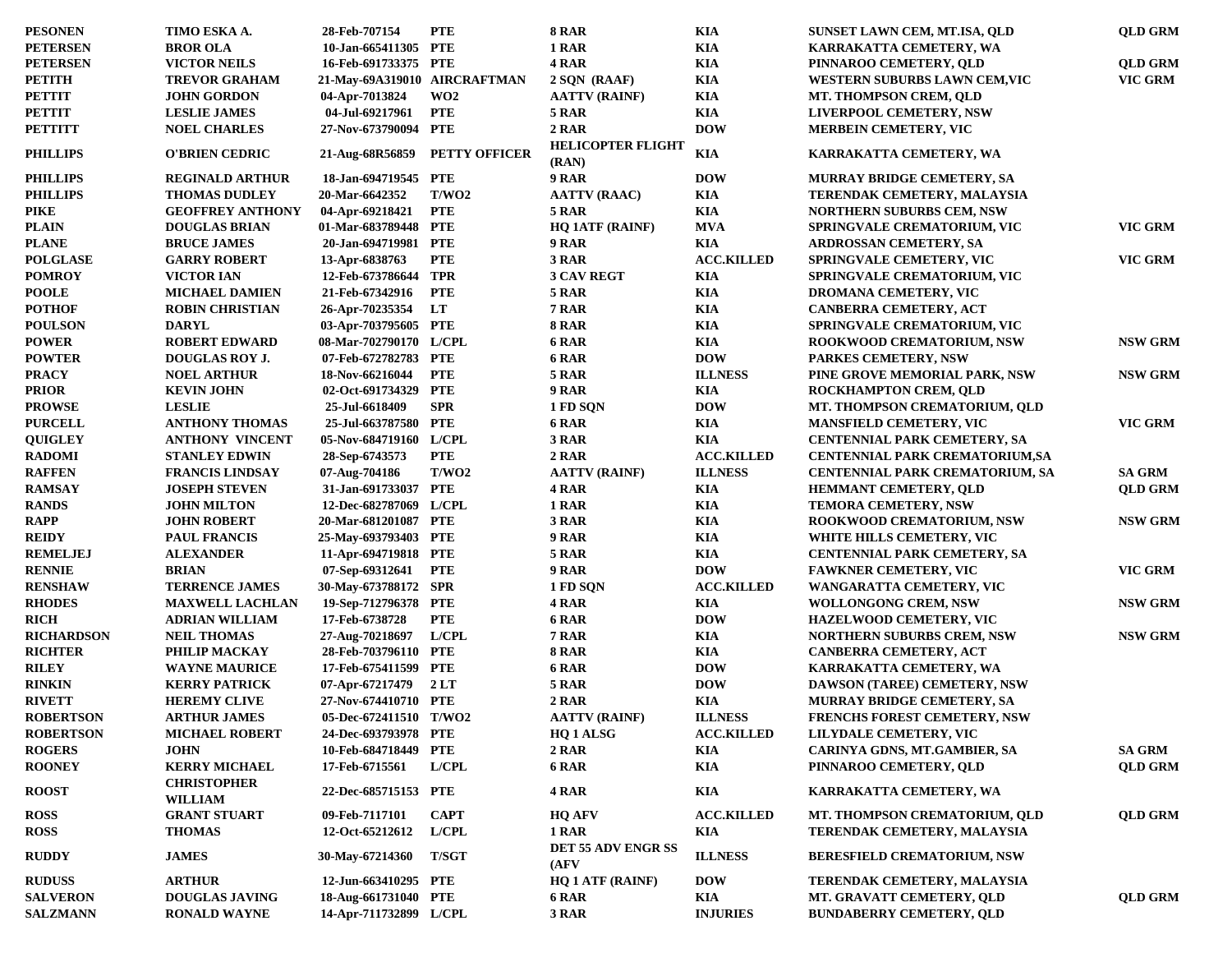| <b>PESONEN</b>                 | TIMO ESKA A.                         | 28-Feb-707154                         | <b>PTE</b>           | <b>8 RAR</b>                      | <b>KIA</b>        | SUNSET LAWN CEM, MT.ISA, QLD           | <b>QLD GRM</b>           |
|--------------------------------|--------------------------------------|---------------------------------------|----------------------|-----------------------------------|-------------------|----------------------------------------|--------------------------|
| <b>PETERSEN</b>                | <b>BROR OLA</b>                      | 10-Jan-665411305 PTE                  |                      | 1 RAR                             | <b>KIA</b>        | KARRAKATTA CEMETERY, WA                |                          |
| <b>PETERSEN</b>                | <b>VICTOR NEILS</b>                  | 16-Feb-691733375 PTE                  |                      | 4 RAR                             | <b>KIA</b>        | PINNAROO CEMETERY, QLD                 | <b>QLD GRM</b>           |
| <b>PETITH</b>                  | <b>TREVOR GRAHAM</b>                 | 21-May-69A319010 AIRCRAFTMAN          |                      | 2 SQN (RAAF)                      | <b>KIA</b>        | WESTERN SUBURBS LAWN CEM, VIC          | <b>VIC GRM</b>           |
| <b>PETTIT</b>                  | <b>JOHN GORDON</b>                   | 04-Apr-7013824                        | WO <sub>2</sub>      | <b>AATTV (RAINF)</b>              | <b>KIA</b>        | <b>MT. THOMPSON CREM, QLD</b>          |                          |
| <b>PETTIT</b>                  | <b>LESLIE JAMES</b>                  | 04-Jul-69217961                       | <b>PTE</b>           | <b>5 RAR</b>                      | <b>KIA</b>        | <b>LIVERPOOL CEMETERY, NSW</b>         |                          |
| <b>PETTITT</b>                 | <b>NOEL CHARLES</b>                  | 27-Nov-673790094 PTE                  |                      | 2 RAR                             | <b>DOW</b>        | <b>MERBEIN CEMETERY, VIC</b>           |                          |
| <b>PHILLIPS</b>                | <b>O'BRIEN CEDRIC</b>                | 21-Aug-68R56859                       | <b>PETTY OFFICER</b> | <b>HELICOPTER FLIGHT</b><br>(RAN) | <b>KIA</b>        | KARRAKATTA CEMETERY, WA                |                          |
| <b>PHILLIPS</b>                | <b>REGINALD ARTHUR</b>               | 18-Jan-694719545 PTE                  |                      | 9 RAR                             | <b>DOW</b>        | MURRAY BRIDGE CEMETERY, SA             |                          |
| <b>PHILLIPS</b>                | <b>THOMAS DUDLEY</b>                 | 20-Mar-6642352                        | T/WO2                | <b>AATTV (RAAC)</b>               | <b>KIA</b>        | TERENDAK CEMETERY, MALAYSIA            |                          |
| <b>PIKE</b>                    | <b>GEOFFREY ANTHONY</b>              | 04-Apr-69218421                       | <b>PTE</b>           | 5 RAR                             | <b>KIA</b>        | <b>NORTHERN SUBURBS CEM, NSW</b>       |                          |
| <b>PLAIN</b>                   | <b>DOUGLAS BRIAN</b>                 | 01-Mar-683789448 PTE                  |                      | <b>HQ 1ATF (RAINF)</b>            | <b>MVA</b>        | SPRINGVALE CREMATORIUM, VIC            | VIC GRM                  |
| <b>PLANE</b>                   | <b>BRUCE JAMES</b>                   | 20-Jan-694719981 PTE                  |                      | 9 RAR                             | <b>KIA</b>        | <b>ARDROSSAN CEMETERY, SA</b>          |                          |
| <b>POLGLASE</b>                | <b>GARRY ROBERT</b>                  | 13-Apr-6838763                        | <b>PTE</b>           | 3 RAR                             | <b>ACC.KILLED</b> | <b>SPRINGVALE CEMETERY, VIC</b>        | VIC GRM                  |
| <b>POMROY</b>                  | <b>VICTOR IAN</b>                    | 12-Feb-673786644                      | TPR                  | <b>3 CAV REGT</b>                 | <b>KIA</b>        | SPRINGVALE CREMATORIUM, VIC            |                          |
| <b>POOLE</b>                   | <b>MICHAEL DAMIEN</b>                | 21-Feb-67342916                       | <b>PTE</b>           | 5 RAR                             | <b>KIA</b>        | <b>DROMANA CEMETERY, VIC</b>           |                          |
| <b>POTHOF</b>                  | <b>ROBIN CHRISTIAN</b>               | 26-Apr-70235354                       | <b>LT</b>            | 7 RAR                             | <b>KIA</b>        | <b>CANBERRA CEMETERY, ACT</b>          |                          |
| <b>POULSON</b>                 | <b>DARYL</b>                         | 03-Apr-703795605 PTE                  |                      | 8 RAR                             | KIA               | SPRINGVALE CREMATORIUM, VIC            |                          |
| <b>POWER</b>                   | <b>ROBERT EDWARD</b>                 | 08-Mar-702790170 L/CPL                |                      | 6 RAR                             | KIA               | <b>ROOKWOOD CREMATORIUM, NSW</b>       | <b>NSW GRM</b>           |
| <b>POWTER</b>                  | <b>DOUGLAS ROY J.</b>                | 07-Feb-672782783 PTE                  |                      | 6 RAR                             | <b>DOW</b>        | <b>PARKES CEMETERY, NSW</b>            |                          |
| <b>PRACY</b>                   | <b>NOEL ARTHUR</b>                   | 18-Nov-66216044                       | <b>PTE</b>           | 5 RAR                             | <b>ILLNESS</b>    | PINE GROVE MEMORIAL PARK, NSW          | <b>NSW GRM</b>           |
| <b>PRIOR</b>                   | <b>KEVIN JOHN</b>                    | 02-Oct-691734329 PTE                  |                      | 9 RAR                             | <b>KIA</b>        | ROCKHAMPTON CREM, QLD                  |                          |
| <b>PROWSE</b>                  | <b>LESLIE</b>                        | 25-Jul-6618409                        | <b>SPR</b>           | 1 FD SQN                          | <b>DOW</b>        | MT. THOMPSON CREMATORIUM, OLD          |                          |
| <b>PURCELL</b>                 | <b>ANTHONY THOMAS</b>                | 25-Jul-663787580 PTE                  |                      | 6 RAR                             | <b>KIA</b>        | <b>MANSFIELD CEMETERY, VIC</b>         | VIC GRM                  |
| <b>QUIGLEY</b>                 | <b>ANTHONY VINCENT</b>               | 05-Nov-684719160 L/CPL                |                      | 3 RAR                             | <b>KIA</b>        | <b>CENTENNIAL PARK CEMETERY, SA</b>    |                          |
| <b>RADOMI</b>                  | <b>STANLEY EDWIN</b>                 | 28-Sep-6743573                        | <b>PTE</b>           | 2 RAR                             | <b>ACC.KILLED</b> |                                        |                          |
|                                | <b>FRANCIS LINDSAY</b>               |                                       | T/WO2                | <b>AATTV (RAINF)</b>              | <b>ILLNESS</b>    | <b>CENTENNIAL PARK CREMATORIUM,SA</b>  |                          |
| <b>RAFFEN</b><br><b>RAMSAY</b> |                                      | 07-Aug-704186<br>31-Jan-691733037 PTE |                      | 4 RAR                             | <b>KIA</b>        | <b>CENTENNIAL PARK CREMATORIUM, SA</b> | SA GRM<br><b>QLD GRM</b> |
| <b>RANDS</b>                   | <b>JOSEPH STEVEN</b>                 | 12-Dec-682787069 L/CPL                |                      | 1 RAR                             | <b>KIA</b>        | <b>HEMMANT CEMETERY, QLD</b>           |                          |
|                                | <b>JOHN MILTON</b>                   |                                       |                      |                                   |                   | <b>TEMORA CEMETERY, NSW</b>            |                          |
| <b>RAPP</b>                    | <b>JOHN ROBERT</b>                   | 20-Mar-681201087 PTE                  |                      | 3 RAR                             | <b>KIA</b>        | <b>ROOKWOOD CREMATORIUM, NSW</b>       | <b>NSW GRM</b>           |
| <b>REIDY</b>                   | <b>PAUL FRANCIS</b>                  | 25-May-693793403 PTE                  |                      | 9 RAR                             | <b>KIA</b>        | WHITE HILLS CEMETERY, VIC              |                          |
| <b>REMELJEJ</b>                | <b>ALEXANDER</b>                     | 11-Apr-694719818 PTE                  |                      | 5 RAR                             | KIA               | <b>CENTENNIAL PARK CEMETERY, SA</b>    |                          |
| <b>RENNIE</b>                  | <b>BRIAN</b>                         | 07-Sep-69312641                       | <b>PTE</b>           | 9 RAR                             | <b>DOW</b>        | <b>FAWKNER CEMETERY, VIC</b>           | VIC GRM                  |
| <b>RENSHAW</b>                 | <b>TERRENCE JAMES</b>                | 30-May-673788172 SPR                  |                      | 1 FD SQN                          | <b>ACC.KILLED</b> | WANGARATTA CEMETERY, VIC               |                          |
| <b>RHODES</b>                  | <b>MAXWELL LACHLAN</b>               | 19-Sep-712796378 PTE                  |                      | 4 RAR                             | KIA               | <b>WOLLONGONG CREM, NSW</b>            | <b>NSW GRM</b>           |
| <b>RICH</b>                    | <b>ADRIAN WILLIAM</b>                | 17-Feb-6738728                        | <b>PTE</b>           | 6 RAR                             | <b>DOW</b>        | <b>HAZELWOOD CEMETERY, VIC</b>         |                          |
| <b>RICHARDSON</b>              | <b>NEIL THOMAS</b>                   | 27-Aug-70218697                       | L/ CPL               | 7 RAR                             | <b>KIA</b>        | <b>NORTHERN SUBURBS CREM, NSW</b>      | <b>NSW GRM</b>           |
| <b>RICHTER</b>                 | PHILIP MACKAY                        | 28-Feb-703796110 PTE                  |                      | 8 RAR                             | <b>KIA</b>        | CANBERRA CEMETERY, ACT                 |                          |
| <b>RILEY</b>                   | <b>WAYNE MAURICE</b>                 | 17-Feb-675411599 PTE                  |                      | 6 RAR                             | <b>DOW</b>        | KARRAKATTA CEMETERY, WA                |                          |
| <b>RINKIN</b>                  | <b>KERRY PATRICK</b>                 | 07-Apr-67217479                       | 2LT                  | 5 RAR                             | <b>DOW</b>        | DAWSON (TAREE) CEMETERY, NSW           |                          |
| <b>RIVETT</b>                  | <b>HEREMY CLIVE</b>                  | 27-Nov-674410710 PTE                  |                      | 2 RAR                             | <b>KIA</b>        | <b>MURRAY BRIDGE CEMETERY, SA</b>      |                          |
| <b>ROBERTSON</b>               | <b>ARTHUR JAMES</b>                  | 05-Dec-672411510 T/WO2                |                      | <b>AATTV (RAINF)</b>              | <b>ILLNESS</b>    | <b>FRENCHS FOREST CEMETERY, NSW</b>    |                          |
| <b>ROBERTSON</b>               | <b>MICHAEL ROBERT</b>                | 24-Dec-693793978 PTE                  |                      | HQ 1 ALSG                         | <b>ACC.KILLED</b> | LILYDALE CEMETERY, VIC                 |                          |
| <b>ROGERS</b>                  | <b>JOHN</b>                          | 10-Feb-684718449                      | PTE                  | 2 RAR                             | <b>KIA</b>        | CARINYA GDNS, MT.GAMBIER, SA           | <b>SA GRM</b>            |
| <b>ROONEY</b>                  | <b>KERRY MICHAEL</b>                 | 17-Feb-6715561                        | L/ CPL               | <b>6 RAR</b>                      | <b>KIA</b>        | PINNAROO CEMETERY, QLD                 | <b>QLD GRM</b>           |
| <b>ROOST</b>                   | <b>CHRISTOPHER</b><br><b>WILLIAM</b> | 22-Dec-685715153 PTE                  |                      | 4 RAR                             | KIA               | KARRAKATTA CEMETERY, WA                |                          |
| <b>ROSS</b>                    | <b>GRANT STUART</b>                  | 09-Feb-7117101                        | <b>CAPT</b>          | <b>HQ AFV</b>                     | <b>ACC.KILLED</b> | MT. THOMPSON CREMATORIUM, QLD          | <b>QLD GRM</b>           |
| <b>ROSS</b>                    | <b>THOMAS</b>                        | 12-Oct-65212612                       | L/CPL                | 1 RAR                             | KIA               | TERENDAK CEMETERY, MALAYSIA            |                          |
| <b>RUDDY</b>                   | <b>JAMES</b>                         | 30-May-67214360                       | <b>T/SGT</b>         | DET 55 ADV ENGR SS<br>(AFV)       | <b>ILLNESS</b>    | <b>BERESFIELD CREMATORIUM, NSW</b>     |                          |
| <b>RUDUSS</b>                  | <b>ARTHUR</b>                        | 12-Jun-663410295 PTE                  |                      | <b>HQ 1 ATF (RAINF)</b>           | <b>DOW</b>        | TERENDAK CEMETERY, MALAYSIA            |                          |
| <b>SALVERON</b>                | <b>DOUGLAS JAVING</b>                | 18-Aug-661731040 PTE                  |                      | 6 RAR                             | KIA               | MT. GRAVATT CEMETERY, QLD              | <b>QLD GRM</b>           |
| <b>SALZMANN</b>                | <b>RONALD WAYNE</b>                  | 14-Apr-711732899 L/CPL                |                      | 3 RAR                             | <b>INJURIES</b>   | <b>BUNDABERRY CEMETERY, QLD</b>        |                          |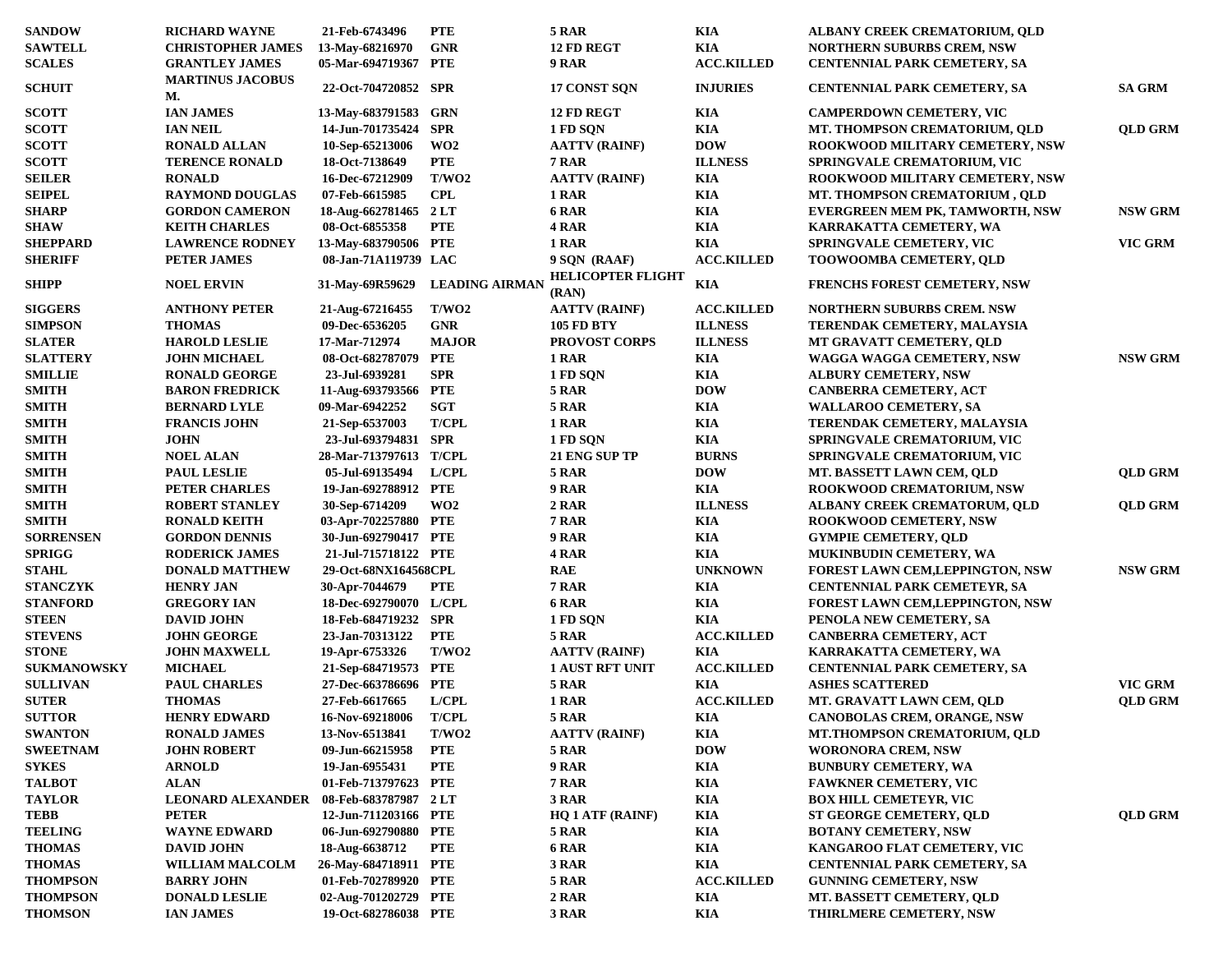| <b>SANDOW</b>      | <b>RICHARD WAYNE</b>                  | 21-Feb-6743496         | <b>PTE</b>            | 5 RAR                    | KIA               | ALBANY CREEK CREMATORIUM, QLD           |                |
|--------------------|---------------------------------------|------------------------|-----------------------|--------------------------|-------------------|-----------------------------------------|----------------|
| <b>SAWTELL</b>     | <b>CHRISTOPHER JAMES</b>              | 13-May-68216970        | <b>GNR</b>            | 12 FD REGT               | <b>KIA</b>        | <b>NORTHERN SUBURBS CREM, NSW</b>       |                |
| <b>SCALES</b>      | <b>GRANTLEY JAMES</b>                 | 05-Mar-694719367 PTE   |                       | 9 RAR                    | <b>ACC.KILLED</b> | <b>CENTENNIAL PARK CEMETERY, SA</b>     |                |
|                    | <b>MARTINUS JACOBUS</b>               |                        |                       |                          |                   |                                         |                |
| <b>SCHUIT</b>      | М.                                    | 22-Oct-704720852 SPR   |                       | 17 CONST SON             | <b>INJURIES</b>   | <b>CENTENNIAL PARK CEMETERY, SA</b>     | SA GRM         |
| <b>SCOTT</b>       | <b>IAN JAMES</b>                      | 13-May-683791583 GRN   |                       | 12 FD REGT               | KIA               | <b>CAMPERDOWN CEMETERY, VIC</b>         |                |
| <b>SCOTT</b>       | <b>IAN NEIL</b>                       | 14-Jun-701735424 SPR   |                       | 1 FD SQN                 | KIA               | MT. THOMPSON CREMATORIUM, QLD           | <b>OLD GRM</b> |
| <b>SCOTT</b>       | <b>RONALD ALLAN</b>                   | 10-Sep-65213006        | WO <sub>2</sub>       | <b>AATTV (RAINF)</b>     | <b>DOW</b>        | ROOKWOOD MILITARY CEMETERY, NSW         |                |
| <b>SCOTT</b>       | <b>TERENCE RONALD</b>                 | 18-Oct-7138649         | <b>PTE</b>            | <b>7 RAR</b>             | <b>ILLNESS</b>    | <b>SPRINGVALE CREMATORIUM, VIC</b>      |                |
| <b>SEILER</b>      | <b>RONALD</b>                         | 16-Dec-67212909        | T/WO2                 | <b>AATTV (RAINF)</b>     | <b>KIA</b>        | ROOKWOOD MILITARY CEMETERY, NSW         |                |
| <b>SEIPEL</b>      | <b>RAYMOND DOUGLAS</b>                | 07-Feb-6615985         | <b>CPL</b>            | 1 RAR                    | <b>KIA</b>        | MT. THOMPSON CREMATORIUM, QLD           |                |
| <b>SHARP</b>       | <b>GORDON CAMERON</b>                 | 18-Aug-662781465 2 LT  |                       | 6 RAR                    | KIA               | EVERGREEN MEM PK, TAMWORTH, NSW         | <b>NSW GRM</b> |
| <b>SHAW</b>        | <b>KEITH CHARLES</b>                  | 08-Oct-6855358         | <b>PTE</b>            | 4 RAR                    | KIA               | KARRAKATTA CEMETERY, WA                 |                |
| <b>SHEPPARD</b>    | <b>LAWRENCE RODNEY</b>                | 13-May-683790506 PTE   |                       | 1 RAR                    | KIA               | <b>SPRINGVALE CEMETERY, VIC</b>         | <b>VIC GRM</b> |
| <b>SHERIFF</b>     | <b>PETER JAMES</b>                    | 08-Jan-71A119739 LAC   |                       | 9 SQN (RAAF)             | <b>ACC.KILLED</b> | <b>TOOWOOMBA CEMETERY, QLD</b>          |                |
|                    |                                       |                        |                       | <b>HELICOPTER FLIGHT</b> |                   |                                         |                |
| <b>SHIPP</b>       | <b>NOEL ERVIN</b>                     | 31-May-69R59629        | <b>LEADING AIRMAN</b> | (RAN)                    | KIA               | <b>FRENCHS FOREST CEMETERY, NSW</b>     |                |
| <b>SIGGERS</b>     | <b>ANTHONY PETER</b>                  | 21-Aug-67216455        | T/WO2                 | <b>AATTV (RAINF)</b>     | <b>ACC.KILLED</b> | <b>NORTHERN SUBURBS CREM. NSW</b>       |                |
| <b>SIMPSON</b>     | <b>THOMAS</b>                         | 09-Dec-6536205         | <b>GNR</b>            | <b>105 FD BTY</b>        | <b>ILLNESS</b>    | TERENDAK CEMETERY, MALAYSIA             |                |
| <b>SLATER</b>      | <b>HAROLD LESLIE</b>                  | 17-Mar-712974          | <b>MAJOR</b>          | <b>PROVOST CORPS</b>     | <b>ILLNESS</b>    | MT GRAVATT CEMETERY, QLD                |                |
| <b>SLATTERY</b>    | <b>JOHN MICHAEL</b>                   | 08-Oct-682787079 PTE   |                       | 1 RAR                    | KIA               | WAGGA WAGGA CEMETERY, NSW               | <b>NSW GRM</b> |
| <b>SMILLIE</b>     | <b>RONALD GEORGE</b>                  | 23-Jul-6939281         | <b>SPR</b>            | 1 FD SQN                 | KIA               | <b>ALBURY CEMETERY, NSW</b>             |                |
| <b>SMITH</b>       | <b>BARON FREDRICK</b>                 | 11-Aug-693793566 PTE   |                       | 5 RAR                    | <b>DOW</b>        | CANBERRA CEMETERY, ACT                  |                |
| <b>SMITH</b>       | <b>BERNARD LYLE</b>                   | 09-Mar-6942252         | <b>SGT</b>            | 5 RAR                    | KIA               | <b>WALLAROO CEMETERY, SA</b>            |                |
| <b>SMITH</b>       | <b>FRANCIS JOHN</b>                   | 21-Sep-6537003         | <b>T/CPL</b>          | 1 RAR                    | KIA               | TERENDAK CEMETERY, MALAYSIA             |                |
| <b>SMITH</b>       | <b>JOHN</b>                           | 23-Jul-693794831 SPR   |                       | 1 FD SQN                 | KIA               | <b>SPRINGVALE CREMATORIUM, VIC</b>      |                |
| <b>SMITH</b>       | <b>NOEL ALAN</b>                      | 28-Mar-713797613 T/CPL |                       | 21 ENG SUP TP            | <b>BURNS</b>      | SPRINGVALE CREMATORIUM, VIC             |                |
| <b>SMITH</b>       | <b>PAUL LESLIE</b>                    | 05-Jul-69135494        | L/ CPL                | 5 RAR                    | <b>DOW</b>        | MT. BASSETT LAWN CEM, QLD               | <b>QLD GRM</b> |
| <b>SMITH</b>       | PETER CHARLES                         | 19-Jan-692788912 PTE   |                       | 9 RAR                    | KIA               | <b>ROOKWOOD CREMATORIUM, NSW</b>        |                |
| <b>SMITH</b>       | <b>ROBERT STANLEY</b>                 | 30-Sep-6714209         | WO2                   | 2 RAR                    | <b>ILLNESS</b>    | ALBANY CREEK CREMATORUM, QLD            | <b>QLD GRM</b> |
| <b>SMITH</b>       | <b>RONALD KEITH</b>                   | 03-Apr-702257880 PTE   |                       | <b>7 RAR</b>             | KIA               | <b>ROOKWOOD CEMETERY, NSW</b>           |                |
| <b>SORRENSEN</b>   | <b>GORDON DENNIS</b>                  | 30-Jun-692790417 PTE   |                       | 9 RAR                    | KIA               | <b>GYMPIE CEMETERY, QLD</b>             |                |
| <b>SPRIGG</b>      | <b>RODERICK JAMES</b>                 | 21-Jul-715718122 PTE   |                       | 4 RAR                    | <b>KIA</b>        | <b>MUKINBUDIN CEMETERY, WA</b>          |                |
| <b>STAHL</b>       | <b>DONALD MATTHEW</b>                 | 29-Oct-68NX164568CPL   |                       | <b>RAE</b>               | <b>UNKNOWN</b>    | <b>FOREST LAWN CEM, LEPPINGTON, NSW</b> | <b>NSW GRM</b> |
| <b>STANCZYK</b>    | <b>HENRY JAN</b>                      | 30-Apr-7044679         | <b>PTE</b>            | <b>7 RAR</b>             | KIA               | <b>CENTENNIAL PARK CEMETEYR, SA</b>     |                |
| <b>STANFORD</b>    | <b>GREGORY IAN</b>                    | 18-Dec-692790070 L/CPL |                       | 6 RAR                    | KIA               | <b>FOREST LAWN CEM, LEPPINGTON, NSW</b> |                |
| <b>STEEN</b>       | <b>DAVID JOHN</b>                     | 18-Feb-684719232 SPR   |                       | 1 FD SQN                 | <b>KIA</b>        | PENOLA NEW CEMETERY, SA                 |                |
| <b>STEVENS</b>     | <b>JOHN GEORGE</b>                    | 23-Jan-70313122        | <b>PTE</b>            | 5 RAR                    | <b>ACC.KILLED</b> | CANBERRA CEMETERY, ACT                  |                |
| <b>STONE</b>       |                                       |                        | T/WO2                 |                          |                   |                                         |                |
|                    | <b>JOHN MAXWELL</b><br><b>MICHAEL</b> | 19-Apr-6753326         |                       | <b>AATTV (RAINF)</b>     | KIA               | KARRAKATTA CEMETERY, WA                 |                |
| <b>SUKMANOWSKY</b> |                                       | 21-Sep-684719573 PTE   |                       | <b>1 AUST RFT UNIT</b>   | <b>ACC.KILLED</b> | <b>CENTENNIAL PARK CEMETERY, SA</b>     |                |
| <b>SULLIVAN</b>    | <b>PAUL CHARLES</b>                   | 27-Dec-663786696 PTE   |                       | 5 RAR                    | KIA               | <b>ASHES SCATTERED</b>                  | VIC GRM        |
| <b>SUTER</b>       | <b>THOMAS</b>                         | 27-Feb-6617665         | L/CH                  | 1 RAR                    | <b>ACC.KILLED</b> | MT. GRAVATT LAWN CEM, QLD               | <b>QLD GRM</b> |
| <b>SUTTOR</b>      | <b>HENRY EDWARD</b>                   | 16-Nov-69218006        | <b>T/CPL</b>          | <b>5 RAR</b>             | KIA               | CANOBOLAS CREM, ORANGE, NSW             |                |
| <b>SWANTON</b>     | <b>RONALD JAMES</b>                   | 13-Nov-6513841         | T/WO2                 | <b>AATTV (RAINF)</b>     | $\mathbf{KIA}$    | MT.THOMPSON CREMATORIUM, QLD            |                |
| <b>SWEETNAM</b>    | <b>JOHN ROBERT</b>                    | 09-Jun-66215958        | PTE                   | <b>5 RAR</b>             | <b>DOW</b>        | <b>WORONORA CREM, NSW</b>               |                |
| <b>SYKES</b>       | <b>ARNOLD</b>                         | 19-Jan-6955431         | <b>PTE</b>            | 9 RAR                    | KIA               | <b>BUNBURY CEMETERY, WA</b>             |                |
| <b>TALBOT</b>      | <b>ALAN</b>                           | 01-Feb-713797623 PTE   |                       | <b>7 RAR</b>             | KIA               | <b>FAWKNER CEMETERY, VIC</b>            |                |
| <b>TAYLOR</b>      | <b>LEONARD ALEXANDER</b>              | 08-Feb-683787987 2LT   |                       | 3 RAR                    | KIA               | <b>BOX HILL CEMETEYR, VIC</b>           |                |
| TEBB               | <b>PETER</b>                          | 12-Jun-711203166 PTE   |                       | <b>HQ 1 ATF (RAINF)</b>  | KIA               | <b>ST GEORGE CEMETERY, QLD</b>          | <b>QLD GRM</b> |
| <b>TEELING</b>     | <b>WAYNE EDWARD</b>                   | 06-Jun-692790880 PTE   |                       | <b>5 RAR</b>             | KIA               | <b>BOTANY CEMETERY, NSW</b>             |                |
| <b>THOMAS</b>      | <b>DAVID JOHN</b>                     | 18-Aug-6638712         | PTE                   | 6 RAR                    | KIA               | KANGAROO FLAT CEMETERY, VIC             |                |
| <b>THOMAS</b>      | <b>WILLIAM MALCOLM</b>                | 26-May-684718911 PTE   |                       | 3 RAR                    | KIA               | <b>CENTENNIAL PARK CEMETERY, SA</b>     |                |
| <b>THOMPSON</b>    | <b>BARRY JOHN</b>                     | 01-Feb-702789920 PTE   |                       | <b>5 RAR</b>             | <b>ACC.KILLED</b> | <b>GUNNING CEMETERY, NSW</b>            |                |
| <b>THOMPSON</b>    | <b>DONALD LESLIE</b>                  | 02-Aug-701202729 PTE   |                       | <b>2 RAR</b>             | KIA               | MT. BASSETT CEMETERY, QLD               |                |
| <b>THOMSON</b>     | <b>IAN JAMES</b>                      | 19-Oct-682786038 PTE   |                       | 3 RAR                    | KIA               | THIRLMERE CEMETERY, NSW                 |                |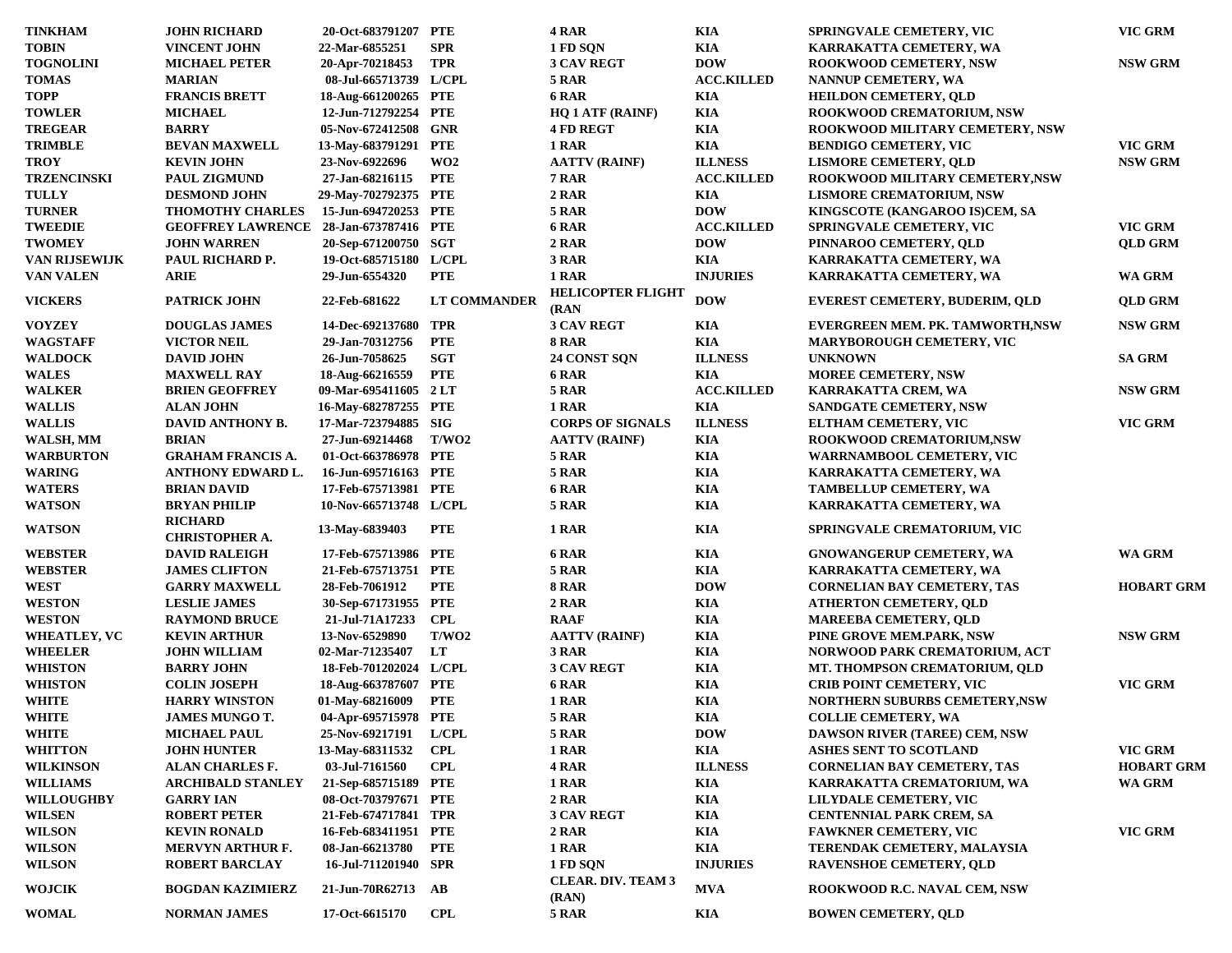| <b>TINKHAM</b>       | <b>JOHN RICHARD</b>                     | 20-Oct-683791207 PTE   |                     | 4 RAR                                 | KIA               | <b>SPRINGVALE CEMETERY, VIC</b>       | VIC GRM                  |
|----------------------|-----------------------------------------|------------------------|---------------------|---------------------------------------|-------------------|---------------------------------------|--------------------------|
| <b>TOBIN</b>         | <b>VINCENT JOHN</b>                     | 22-Mar-6855251         | <b>SPR</b>          | 1 FD SQN                              | KIA               | KARRAKATTA CEMETERY, WA               |                          |
| <b>TOGNOLINI</b>     | <b>MICHAEL PETER</b>                    | 20-Apr-70218453        | <b>TPR</b>          | <b>3 CAV REGT</b>                     | <b>DOW</b>        | <b>ROOKWOOD CEMETERY, NSW</b>         | $\operatorname{NSW}$ GRM |
| <b>TOMAS</b>         | <b>MARIAN</b>                           | 08-Jul-665713739 L/CPL |                     | <b>5 RAR</b>                          | <b>ACC.KILLED</b> | NANNUP CEMETERY, WA                   |                          |
| <b>TOPP</b>          | <b>FRANCIS BRETT</b>                    | 18-Aug-661200265 PTE   |                     | 6 RAR                                 | KIA               | <b>HEILDON CEMETERY, QLD</b>          |                          |
| <b>TOWLER</b>        | <b>MICHAEL</b>                          | 12-Jun-712792254 PTE   |                     | <b>HQ 1 ATF (RAINF)</b>               | KIA               | <b>ROOKWOOD CREMATORIUM, NSW</b>      |                          |
| <b>TREGEAR</b>       | <b>BARRY</b>                            | 05-Nov-672412508 GNR   |                     | <b>4 FD REGT</b>                      | KIA               | ROOKWOOD MILITARY CEMETERY, NSW       |                          |
| <b>TRIMBLE</b>       | <b>BEVAN MAXWELL</b>                    | 13-May-683791291 PTE   |                     | 1 RAR                                 | KIA               | <b>BENDIGO CEMETERY, VIC</b>          | VIC GRM                  |
| <b>TROY</b>          | <b>KEVIN JOHN</b>                       | 23-Nov-6922696         | WO2                 | <b>AATTV (RAINF)</b>                  | <b>ILLNESS</b>    | <b>LISMORE CEMETERY, QLD</b>          | $\operatorname{NSW}$ GRM |
| <b>TRZENCINSKI</b>   | <b>PAUL ZIGMUND</b>                     | 27-Jan-68216115        | <b>PTE</b>          | 7 RAR                                 | <b>ACC.KILLED</b> | ROOKWOOD MILITARY CEMETERY, NSW       |                          |
| <b>TULLY</b>         | <b>DESMOND JOHN</b>                     | 29-May-702792375 PTE   |                     | 2 RAR                                 | KIA               | <b>LISMORE CREMATORIUM, NSW</b>       |                          |
| <b>TURNER</b>        | <b>THOMOTHY CHARLES</b>                 | 15-Jun-694720253 PTE   |                     | 5 RAR                                 | <b>DOW</b>        | KINGSCOTE (KANGAROO IS)CEM, SA        |                          |
| <b>TWEEDIE</b>       | <b>GEOFFREY LAWRENCE</b>                | 28-Jan-673787416 PTE   |                     | 6 RAR                                 | <b>ACC.KILLED</b> | <b>SPRINGVALE CEMETERY, VIC</b>       | <b>VIC GRM</b>           |
| <b>TWOMEY</b>        | <b>JOHN WARREN</b>                      | 20-Sep-671200750 SGT   |                     | 2 RAR                                 | <b>DOW</b>        | PINNAROO CEMETERY, QLD                | <b>QLD GRM</b>           |
| <b>VAN RIJSEWIJK</b> | PAUL RICHARD P.                         | 19-Oct-685715180 L/CPL |                     | 3 RAR                                 | <b>KIA</b>        | KARRAKATTA CEMETERY, WA               |                          |
| <b>VAN VALEN</b>     | <b>ARIE</b>                             | 29-Jun-6554320         | <b>PTE</b>          | 1 RAR                                 | <b>INJURIES</b>   | KARRAKATTA CEMETERY, WA               | WA GRM                   |
| <b>VICKERS</b>       | <b>PATRICK JOHN</b>                     | 22-Feb-681622          | <b>LT COMMANDER</b> | <b>HELICOPTER FLIGHT</b>              | <b>DOW</b>        | <b>EVEREST CEMETERY, BUDERIM, QLD</b> | <b>QLD GRM</b>           |
|                      |                                         |                        |                     | (RAN)                                 |                   |                                       |                          |
| <b>VOYZEY</b>        | <b>DOUGLAS JAMES</b>                    | 14-Dec-692137680 TPR   |                     | <b>3 CAV REGT</b>                     | KIA               | EVERGREEN MEM. PK. TAMWORTH,NSW       | <b>NSW GRM</b>           |
| <b>WAGSTAFF</b>      | <b>VICTOR NEIL</b>                      | 29-Jan-70312756        | <b>PTE</b>          | <b>8 RAR</b>                          | KIA               | <b>MARYBOROUGH CEMETERY, VIC</b>      |                          |
| <b>WALDOCK</b>       | <b>DAVID JOHN</b>                       | 26-Jun-7058625         | <b>SGT</b>          | 24 CONST SQN                          | <b>ILLNESS</b>    | <b>UNKNOWN</b>                        | <b>SA GRM</b>            |
| <b>WALES</b>         | <b>MAXWELL RAY</b>                      | 18-Aug-66216559        | <b>PTE</b>          | 6 RAR                                 | KIA               | <b>MOREE CEMETERY, NSW</b>            |                          |
| <b>WALKER</b>        | <b>BRIEN GEOFFREY</b>                   | 09-Mar-695411605 2LT   |                     | 5 RAR                                 | <b>ACC.KILLED</b> | KARRAKATTA CREM, WA                   | <b>NSW GRM</b>           |
| <b>WALLIS</b>        | <b>ALAN JOHN</b>                        | 16-May-682787255 PTE   |                     | 1 RAR                                 | KIA               | <b>SANDGATE CEMETERY, NSW</b>         |                          |
| <b>WALLIS</b>        | DAVID ANTHONY B.                        | 17-Mar-723794885 SIG   |                     | <b>CORPS OF SIGNALS</b>               | <b>ILLNESS</b>    | ELTHAM CEMETERY, VIC                  | VIC GRM                  |
| WALSH, MM            | <b>BRIAN</b>                            | 27-Jun-69214468        | T/WO2               | <b>AATTV (RAINF)</b>                  | KIA               | ROOKWOOD CREMATORIUM.NSW              |                          |
| <b>WARBURTON</b>     | <b>GRAHAM FRANCIS A.</b>                | 01-Oct-663786978 PTE   |                     | 5 RAR                                 | KIA               | WARRNAMBOOL CEMETERY, VIC             |                          |
| <b>WARING</b>        | <b>ANTHONY EDWARD L.</b>                | 16-Jun-695716163 PTE   |                     | 5 RAR                                 | KIA               | KARRAKATTA CEMETERY, WA               |                          |
| <b>WATERS</b>        | <b>BRIAN DAVID</b>                      | 17-Feb-675713981 PTE   |                     | 6 RAR                                 | KIA               | <b>TAMBELLUP CEMETERY, WA</b>         |                          |
| <b>WATSON</b>        | <b>BRYAN PHILIP</b>                     | 10-Nov-665713748 L/CPL |                     | 5 RAR                                 | KIA               | KARRAKATTA CEMETERY, WA               |                          |
| <b>WATSON</b>        | <b>RICHARD</b><br><b>CHRISTOPHER A.</b> | 13-May-6839403         | <b>PTE</b>          | 1 RAR                                 | KIA               | <b>SPRINGVALE CREMATORIUM, VIC</b>    |                          |
| <b>WEBSTER</b>       | <b>DAVID RALEIGH</b>                    | 17-Feb-675713986 PTE   |                     | 6 RAR                                 | KIA               | <b>GNOWANGERUP CEMETERY, WA</b>       | WA GRM                   |
| <b>WEBSTER</b>       | <b>JAMES CLIFTON</b>                    | 21-Feb-675713751 PTE   |                     | 5 RAR                                 | KIA               | KARRAKATTA CEMETERY, WA               |                          |
| <b>WEST</b>          | <b>GARRY MAXWELL</b>                    | 28-Feb-7061912         | <b>PTE</b>          | 8 RAR                                 | <b>DOW</b>        | <b>CORNELIAN BAY CEMETERY, TAS</b>    | <b>HOBART GRM</b>        |
| <b>WESTON</b>        | <b>LESLIE JAMES</b>                     | 30-Sep-671731955 PTE   |                     | 2 RAR                                 | KIA               | <b>ATHERTON CEMETERY, QLD</b>         |                          |
| <b>WESTON</b>        | <b>RAYMOND BRUCE</b>                    | 21-Jul-71A17233        | <b>CPL</b>          | <b>RAAF</b>                           | KIA               | <b>MAREEBA CEMETERY, QLD</b>          |                          |
| <b>WHEATLEY, VC</b>  | <b>KEVIN ARTHUR</b>                     | 13-Nov-6529890         | T/WO2               | <b>AATTV (RAINF)</b>                  | KIA               | PINE GROVE MEM.PARK, NSW              | <b>NSW GRM</b>           |
| <b>WHEELER</b>       | <b>JOHN WILLIAM</b>                     | 02-Mar-71235407        | LT                  | 3 RAR                                 | KIA               | NORWOOD PARK CREMATORIUM, ACT         |                          |
| <b>WHISTON</b>       | <b>BARRY JOHN</b>                       | 18-Feb-701202024 L/CPL |                     | <b>3 CAV REGT</b>                     | KIA               | MT. THOMPSON CREMATORIUM, QLD         |                          |
| <b>WHISTON</b>       | <b>COLIN JOSEPH</b>                     | 18-Aug-663787607 PTE   |                     | 6 RAR                                 | KIA               | <b>CRIB POINT CEMETERY, VIC</b>       | VIC GRM                  |
| <b>WHITE</b>         | <b>HARRY WINSTON</b>                    | 01-May-68216009        | <b>PTE</b>          | 1 RAR                                 | KIA               | <b>NORTHERN SUBURBS CEMETERY, NSW</b> |                          |
| <b>WHITE</b>         | <b>JAMES MUNGO T.</b>                   | 04-Apr-695715978 PTE   |                     | <b>5 RAR</b>                          | KIA               | <b>COLLIE CEMETERY, WA</b>            |                          |
| <b>WHITE</b>         | <b>MICHAEL PAUL</b>                     | 25-Nov-69217191 L/CPL  |                     | 5 RAR                                 | <b>DOW</b>        | DAWSON RIVER (TAREE) CEM, NSW         |                          |
| <b>WHITTON</b>       | <b>JOHN HUNTER</b>                      | 13-May-68311532        | <b>CPL</b>          | 1 RAR                                 | KIA               | ASHES SENT TO SCOTLAND                | VIC GRM                  |
|                      |                                         | 03-Jul-7161560         | <b>CPL</b>          |                                       | <b>ILLNESS</b>    |                                       |                          |
| <b>WILKINSON</b>     | <b>ALAN CHARLES F.</b>                  |                        |                     | 4 RAR                                 |                   | <b>CORNELIAN BAY CEMETERY, TAS</b>    | <b>HOBART GRM</b>        |
| <b>WILLIAMS</b>      | <b>ARCHIBALD STANLEY</b>                | 21-Sep-685715189 PTE   |                     | 1 RAR                                 | KIA               | KARRAKATTA CREMATORIUM, WA            | WA GRM                   |
| <b>WILLOUGHBY</b>    | <b>GARRY IAN</b>                        | 08-Oct-703797671 PTE   |                     | 2 RAR                                 | KIA               | LILYDALE CEMETERY, VIC                |                          |
| <b>WILSEN</b>        | <b>ROBERT PETER</b>                     | 21-Feb-674717841 TPR   |                     | <b>3 CAV REGT</b>                     | KIA               | <b>CENTENNIAL PARK CREM, SA</b>       |                          |
| <b>WILSON</b>        | <b>KEVIN RONALD</b>                     | 16-Feb-683411951 PTE   |                     | 2 RAR                                 | KIA               | <b>FAWKNER CEMETERY, VIC</b>          | VIC GRM                  |
| <b>WILSON</b>        | <b>MERVYN ARTHUR F.</b>                 | 08-Jan-66213780        | <b>PTE</b>          | 1 RAR                                 | KIA               | TERENDAK CEMETERY, MALAYSIA           |                          |
| <b>WILSON</b>        | ROBERT BARCLAY                          | 16-Jul-711201940 SPR   |                     | 1 FD SQN<br><b>CLEAR. DIV. TEAM 3</b> | <b>INJURIES</b>   | <b>RAVENSHOE CEMETERY, QLD</b>        |                          |
| <b>WOJCIK</b>        | <b>BOGDAN KAZIMIERZ</b>                 | 21-Jun-70R62713 AB     |                     | (RAN)                                 | <b>MVA</b>        | ROOKWOOD R.C. NAVAL CEM, NSW          |                          |
| <b>WOMAL</b>         | <b>NORMAN JAMES</b>                     | 17-Oct-6615170         | <b>CPL</b>          | <b>5 RAR</b>                          | KIA               | <b>BOWEN CEMETERY, OLD</b>            |                          |